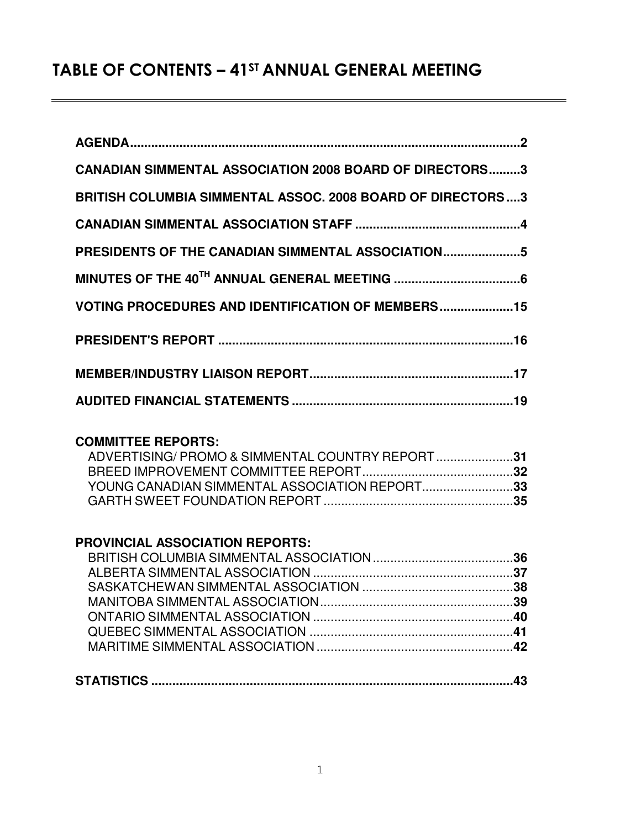# TABLE OF CONTENTS – 41ST ANNUAL GENERAL MEETING

| <b>CANADIAN SIMMENTAL ASSOCIATION 2008 BOARD OF DIRECTORS3</b>    |  |
|-------------------------------------------------------------------|--|
| <b>BRITISH COLUMBIA SIMMENTAL ASSOC. 2008 BOARD OF DIRECTORS3</b> |  |
|                                                                   |  |
| PRESIDENTS OF THE CANADIAN SIMMENTAL ASSOCIATION5                 |  |
|                                                                   |  |
| <b>VOTING PROCEDURES AND IDENTIFICATION OF MEMBERS15</b>          |  |
|                                                                   |  |
|                                                                   |  |
|                                                                   |  |

## **COMMITTEE REPORTS:**

| ADVERTISING/PROMO & SIMMENTAL COUNTRY REPORT31 |  |
|------------------------------------------------|--|
|                                                |  |
| YOUNG CANADIAN SIMMENTAL ASSOCIATION REPORT33  |  |
|                                                |  |

## **PROVINCIAL ASSOCIATION REPORTS:**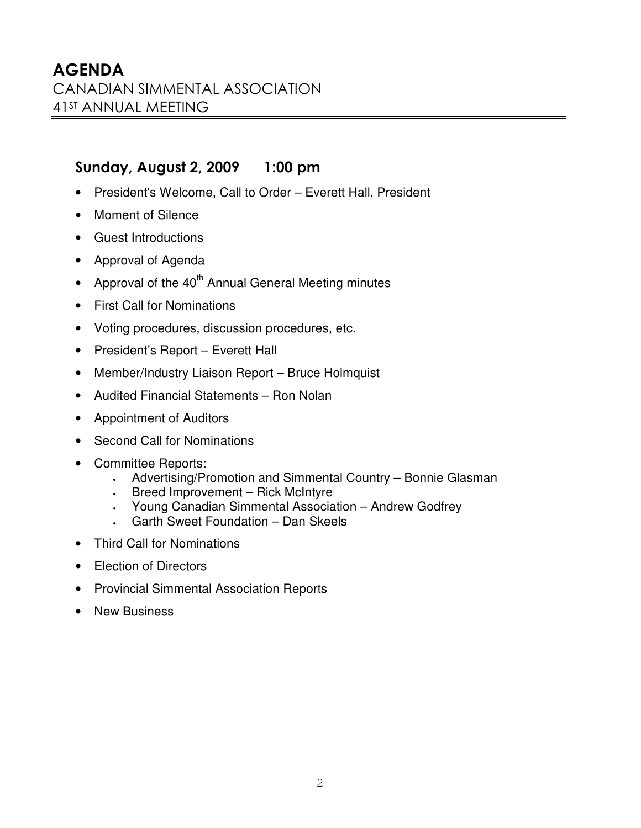## - !"#

- President's Welcome, Call to Order Everett Hall, President
- Moment of Silence
- Guest Introductions
- Approval of Agenda
- Approval of the  $40^{\text{th}}$  Annual General Meeting minutes
- First Call for Nominations
- Voting procedures, discussion procedures, etc.
- President's Report Everett Hall
- Member/Industry Liaison Report Bruce Holmquist
- Audited Financial Statements Ron Nolan
- Appointment of Auditors
- Second Call for Nominations
- Committee Reports:
	- Advertising/Promotion and Simmental Country Bonnie Glasman
	- Breed Improvement Rick McIntyre
	- Young Canadian Simmental Association Andrew Godfrey
	- Garth Sweet Foundation Dan Skeels
- Third Call for Nominations
- **Election of Directors**
- Provincial Simmental Association Reports
- New Business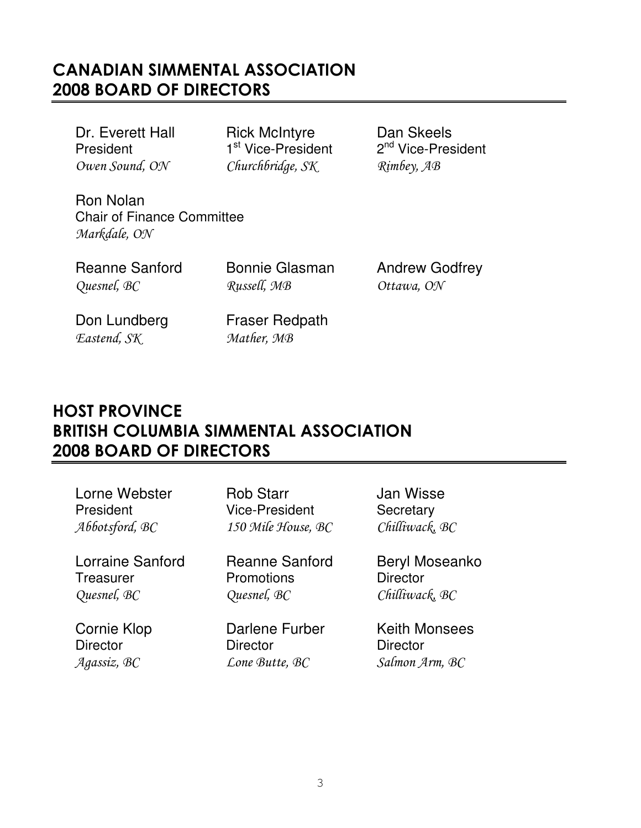# CANADIAN SIMMENTAL ASSOCIATION **2008 BOARD OF DIRECTORS**

**President** Owen Sound,

Dr. Everett Hall **Rick McIntyre** Dan Skeels <sup>st</sup> Vice-President 2 Churchbridge, SK

2<sup>nd</sup> Vice-President SK Rimbey, AB

Ron Nolan Chair of Finance Committee Markdale, ON

Quesnel, BC

Russell, MB

Reanne Sanford Bonnie Glasman Andrew Godfrey MB Ottawa, ON

Don Lundberg Fraser Redpath Eastend, SK

SK Mather, MB

# **HOST PROVINCE** BRITISH COLUMBIA SIMMENTAL ASSOCIATION **2008 BOARD OF DIRECTORS**

| Lorne Webster      | <b>Rob Starr</b>      | Jan Wisse             |
|--------------------|-----------------------|-----------------------|
| President          | <b>Vice-President</b> | Secretary             |
| Abbotsford, BC     | 150 Mile House, BC    | Chilliwack, BC        |
| Lorraine Sanford   | <b>Reanne Sanford</b> | <b>Beryl Moseanko</b> |
| Treasurer          | Promotions            | <b>Director</b>       |
| Quesnel, BC        | Quesnel, BC           | Chilliwack, BC        |
| <b>Cornie Klop</b> | Darlene Furber        | <b>Keith Monsees</b>  |
| <b>Director</b>    | <b>Director</b>       | <b>Director</b>       |
| Agassiz, BC        | Lone Butte, BC        | Salmon Arm, BC        |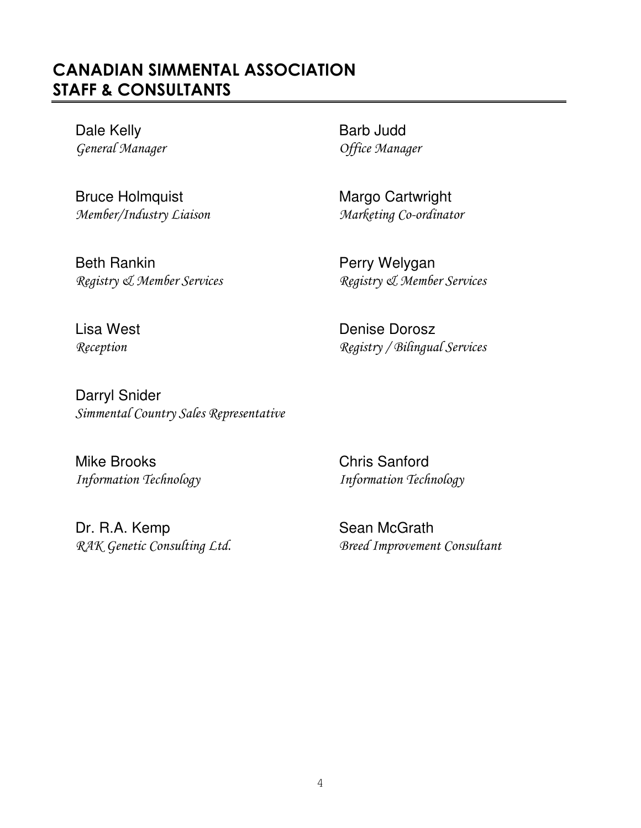# CANADIAN SIMMENTAL ASSOCIATION STAFF & CONSULTANTS

Dale Kelly **Barb Judd** General Manager Service States and Service Manager

Bruce Holmquist Margo Cartwright Member/Industry Liaison Marketing Co-ordinator

Beth Rankin **Perry Welygan** 

Registry & Member Services Registry & Member Services

Lisa West **Denise** Denise Dorosz Reception Registry / Bilingual Services

Darryl Snider Simmental Country Sales Representative

Mike Brooks Chris Sanford

Dr. R.A. Kemp Sean McGrath

Information Technology Manuscript (Information Technology

RAK Genetic Consulting Ltd. 688 Breed Improvement Consultant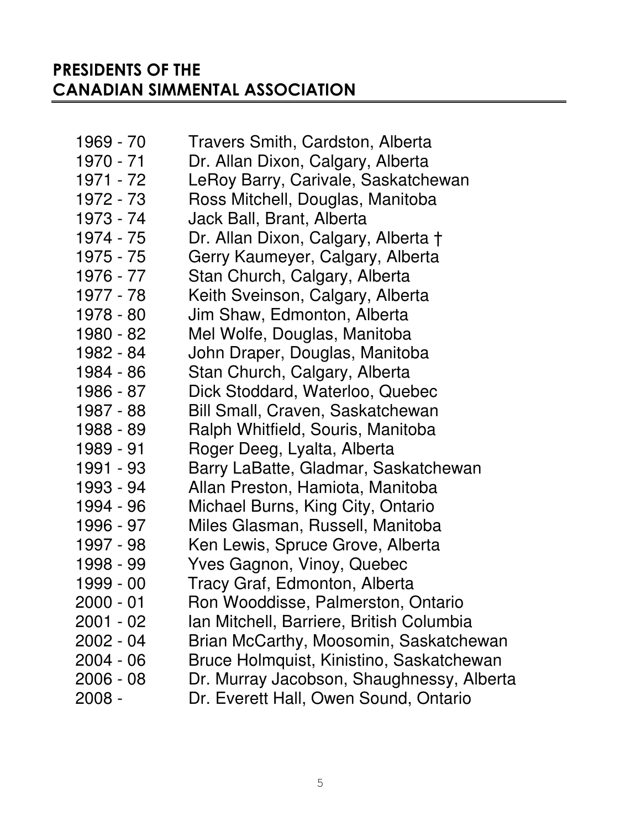# PRESIDENTS OF THE CANADIAN SIMMENTAL ASSOCIATION

| 1969 - 70   | Travers Smith, Cardston, Alberta          |
|-------------|-------------------------------------------|
| 1970 - 71   | Dr. Allan Dixon, Calgary, Alberta         |
| 1971 - 72   | LeRoy Barry, Carivale, Saskatchewan       |
| 1972 - 73   | Ross Mitchell, Douglas, Manitoba          |
| 1973 - 74   | Jack Ball, Brant, Alberta                 |
| 1974 - 75   | Dr. Allan Dixon, Calgary, Alberta †       |
| 1975 - 75   | Gerry Kaumeyer, Calgary, Alberta          |
| 1976 - 77   | Stan Church, Calgary, Alberta             |
| 1977 - 78   | Keith Sveinson, Calgary, Alberta          |
| 1978 - 80   | Jim Shaw, Edmonton, Alberta               |
| 1980 - 82   | Mel Wolfe, Douglas, Manitoba              |
| 1982 - 84   | John Draper, Douglas, Manitoba            |
| 1984 - 86   | Stan Church, Calgary, Alberta             |
| 1986 - 87   | Dick Stoddard, Waterloo, Quebec           |
| 1987 - 88   | Bill Small, Craven, Saskatchewan          |
| 1988 - 89   | Ralph Whitfield, Souris, Manitoba         |
| 1989 - 91   | Roger Deeg, Lyalta, Alberta               |
| 1991 - 93   | Barry LaBatte, Gladmar, Saskatchewan      |
| 1993 - 94   | Allan Preston, Hamiota, Manitoba          |
| 1994 - 96   | Michael Burns, King City, Ontario         |
| 1996 - 97   | Miles Glasman, Russell, Manitoba          |
| 1997 - 98   | Ken Lewis, Spruce Grove, Alberta          |
| 1998 - 99   | Yves Gagnon, Vinoy, Quebec                |
| 1999 - 00   | Tracy Graf, Edmonton, Alberta             |
| $2000 - 01$ | Ron Wooddisse, Palmerston, Ontario        |
| $2001 - 02$ | Ian Mitchell, Barriere, British Columbia  |
| $2002 - 04$ | Brian McCarthy, Moosomin, Saskatchewan    |
| $2004 - 06$ | Bruce Holmquist, Kinistino, Saskatchewan  |
| $2006 - 08$ | Dr. Murray Jacobson, Shaughnessy, Alberta |
| 2008 -      | Dr. Everett Hall, Owen Sound, Ontario     |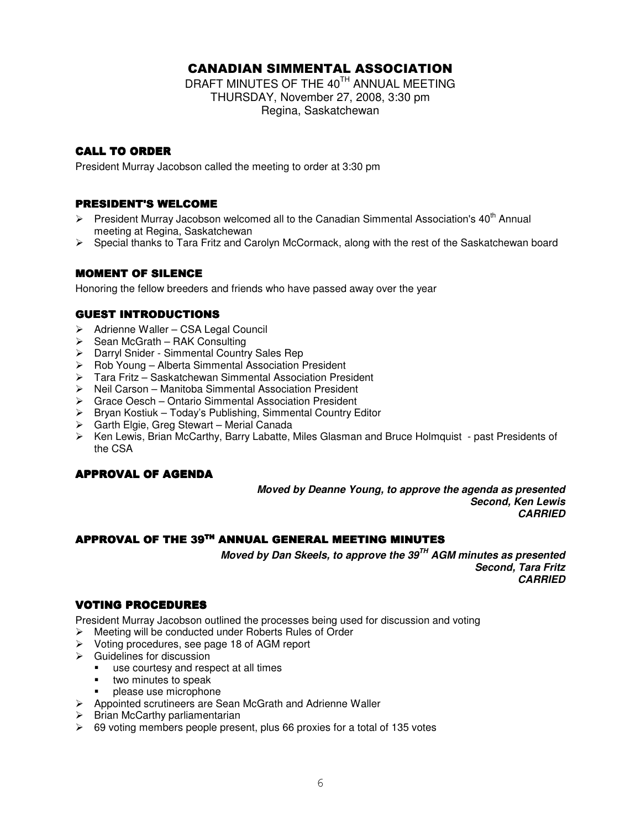## CANADIAN SIMMENTAL ASSOCIATION

DRAFT MINUTES OF THE 40 $^{\text{\tiny{\textsf{TH}}}}$  ANNUAL MEETING THURSDAY, November 27, 2008, 3:30 pm Regina, Saskatchewan

### **CALL TO ORDER**

President Murray Jacobson called the meeting to order at 3:30 pm

### **PRESIDENT'S WELCOME**

- $\triangleright$  President Murray Jacobson welcomed all to the Canadian Simmental Association's 40<sup>th</sup> Annual meeting at Regina, Saskatchewan
- $\triangleright$  Special thanks to Tara Fritz and Carolyn McCormack, along with the rest of the Saskatchewan board

### **MOMENT OF SILENCE**

Honoring the fellow breeders and friends who have passed away over the year

### **GUEST INTRODUCTIONS**

- ▶ Adrienne Waller CSA Legal Council
- $\triangleright$  Sean McGrath RAK Consulting
- Darryl Snider Simmental Country Sales Rep
- ▶ Rob Young Alberta Simmental Association President
- Tara Fritz Saskatchewan Simmental Association President
- Neil Carson Manitoba Simmental Association President
- Grace Oesch Ontario Simmental Association President
- $\triangleright$  Bryan Kostiuk Today's Publishing, Simmental Country Editor
- Garth Elgie, Greg Stewart Merial Canada
- Ken Lewis, Brian McCarthy, Barry Labatte, Miles Glasman and Bruce Holmquist past Presidents of the CSA

### APPROVAL OF AGENDA

*Moved by Deanne Young, to approve the agenda as presented Second, Ken Lewis CARRIED*

### APPROVAL OF THE 39TH ANNUAL GENERAL MEETING MINUTES

*Moved by Dan Skeels, to approve the 39 TH AGM minutes as presented Second, Tara Fritz CARRIED*

### VOTING PROCEDURES

President Murray Jacobson outlined the processes being used for discussion and voting

- Meeting will be conducted under Roberts Rules of Order
- Voting procedures, see page 18 of AGM report
- $\triangleright$  Guidelines for discussion
	- use courtesy and respect at all times
	- two minutes to speak
	- please use microphone
- $\triangleright$  Appointed scrutineers are Sean McGrath and Adrienne Waller
- $\triangleright$  Brian McCarthy parliamentarian
- $\geq$  69 voting members people present, plus 66 proxies for a total of 135 votes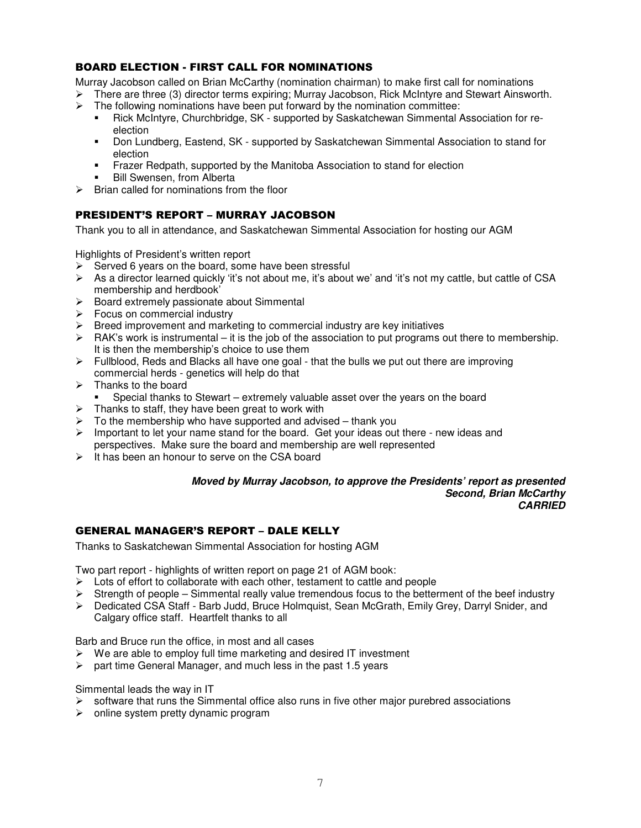### BOARD ELECTION - FIRST CALL FOR NOMINATIONS

Murray Jacobson called on Brian McCarthy (nomination chairman) to make first call for nominations

- $\triangleright$  There are three (3) director terms expiring; Murray Jacobson, Rick McIntyre and Stewart Ainsworth.
- $\triangleright$  The following nominations have been put forward by the nomination committee:
	- - Rick McIntyre, Churchbridge, SK - supported by Saskatchewan Simmental Association for reelection
	- - Don Lundberg, Eastend, SK - supported by Saskatchewan Simmental Association to stand for election
	- -Frazer Redpath, supported by the Manitoba Association to stand for election
	- -Bill Swensen, from Alberta
- $\triangleright$  Brian called for nominations from the floor

### PRESIDENT'S REPORT – MURRAY JACOBSON

Thank you to all in attendance, and Saskatchewan Simmental Association for hosting our AGM

Highlights of President's written report

- $\triangleright$  Served 6 years on the board, some have been stressful
- $\triangleright$  As a director learned quickly 'it's not about me, it's about we' and 'it's not my cattle, but cattle of CSA membership and herdbook'
- $\triangleright$  Board extremely passionate about Simmental
- $\triangleright$  Focus on commercial industry
- $\triangleright$  Breed improvement and marketing to commercial industry are key initiatives
- $\triangleright$  RAK's work is instrumental it is the job of the association to put programs out there to membership. It is then the membership's choice to use them
- $\triangleright$  Fullblood, Reds and Blacks all have one goal that the bulls we put out there are improving commercial herds - genetics will help do that
- $\triangleright$  Thanks to the board
	- -Special thanks to Stewart – extremely valuable asset over the years on the board
- $\triangleright$  Thanks to staff, they have been great to work with
- $\triangleright$  To the membership who have supported and advised thank you
- $\triangleright$  Important to let your name stand for the board. Get your ideas out there new ideas and perspectives. Make sure the board and membership are well represented
- $\triangleright$  It has been an honour to serve on the CSA board

#### *Moved by Murray Jacobson, to approve the Presidents' report as presented Second, Brian McCarthy CARRIED*

### GENERAL MANAGER'S REPORT – DALE KELLY

Thanks to Saskatchewan Simmental Association for hosting AGM

Two part report - highlights of written report on page 21 of AGM book:

- $\triangleright$  Lots of effort to collaborate with each other, testament to cattle and people
- $\triangleright$  Strength of people Simmental really value tremendous focus to the betterment of the beef industry
- Dedicated CSA Staff Barb Judd, Bruce Holmquist, Sean McGrath, Emily Grey, Darryl Snider, and Calgary office staff. Heartfelt thanks to all

Barb and Bruce run the office, in most and all cases

- $\triangleright$  We are able to employ full time marketing and desired IT investment
- $\geq$  part time General Manager, and much less in the past 1.5 years

Simmental leads the way in IT

- software that runs the Simmental office also runs in five other major purebred associations
- $\triangleright$  online system pretty dynamic program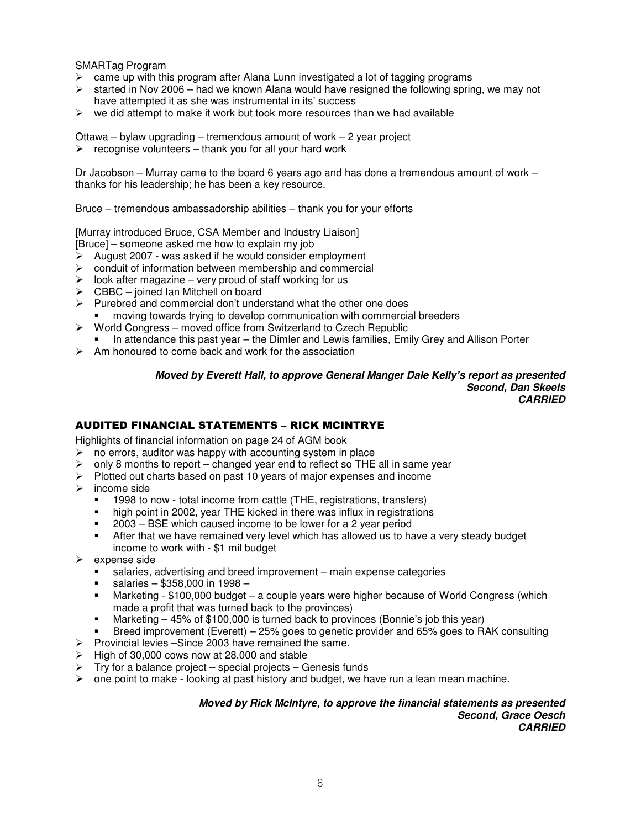SMARTag Program

- $\geq$  came up with this program after Alana Lunn investigated a lot of tagging programs
- $\geq$  started in Nov 2006 had we known Alana would have resigned the following spring, we may not have attempted it as she was instrumental in its' success
- $\triangleright$  we did attempt to make it work but took more resources than we had available

Ottawa – bylaw upgrading – tremendous amount of work – 2 year project

 $\triangleright$  recognise volunteers – thank you for all your hard work

Dr Jacobson – Murray came to the board 6 years ago and has done a tremendous amount of work – thanks for his leadership; he has been a key resource.

Bruce – tremendous ambassadorship abilities – thank you for your efforts

[Murray introduced Bruce, CSA Member and Industry Liaison]

[Bruce] – someone asked me how to explain my job

- $\triangleright$  August 2007 was asked if he would consider employment
- $\triangleright$  conduit of information between membership and commercial
- $\triangleright$  look after magazine very proud of staff working for us
- $\triangleright$  CBBC joined Ian Mitchell on board
- $\triangleright$  Purebred and commercial don't understand what the other one does
- moving towards trying to develop communication with commercial breeders
- $\triangleright$  World Congress moved office from Switzerland to Czech Republic
- -In attendance this past year – the Dimler and Lewis families, Emily Grey and Allison Porter
- $\triangleright$  Am honoured to come back and work for the association

#### *Moved by Everett Hall, to approve General Manger Dale Kelly's report as presented Second, Dan Skeels CARRIED*

### AUDITED FINANCIAL STATEMENTS – RICK MCINTRYE

Highlights of financial information on page 24 of AGM book

- $\triangleright$  no errors, auditor was happy with accounting system in place
- $\triangleright$  only 8 months to report changed year end to reflect so THE all in same year
- $\triangleright$  Plotted out charts based on past 10 years of major expenses and income
- $\triangleright$  income side
	- -1998 to now - total income from cattle (THE, registrations, transfers)
	- high point in 2002, year THE kicked in there was influx in registrations
	- -2003 – BSE which caused income to be lower for a 2 year period
	- - After that we have remained very level which has allowed us to have a very steady budget income to work with - \$1 mil budget
- expense side
	- salaries, advertising and breed improvement – main expense categories
	- salaries – \$358,000 in 1998 –
	- - Marketing - \$100,000 budget – a couple years were higher because of World Congress (which made a profit that was turned back to the provinces)
	- -Marketing – 45% of \$100,000 is turned back to provinces (Bonnie's job this year)
	- -Breed improvement (Everett) – 25% goes to genetic provider and 65% goes to RAK consulting
- $\triangleright$  Provincial levies –Since 2003 have remained the same.
- $\triangleright$  High of 30,000 cows now at 28,000 and stable
- $\triangleright$  Try for a balance project special projects Genesis funds
- $\triangleright$  one point to make looking at past history and budget, we have run a lean mean machine.

#### *Moved by Rick McIntyre, to approve the financial statements as presented Second, Grace Oesch CARRIED*

8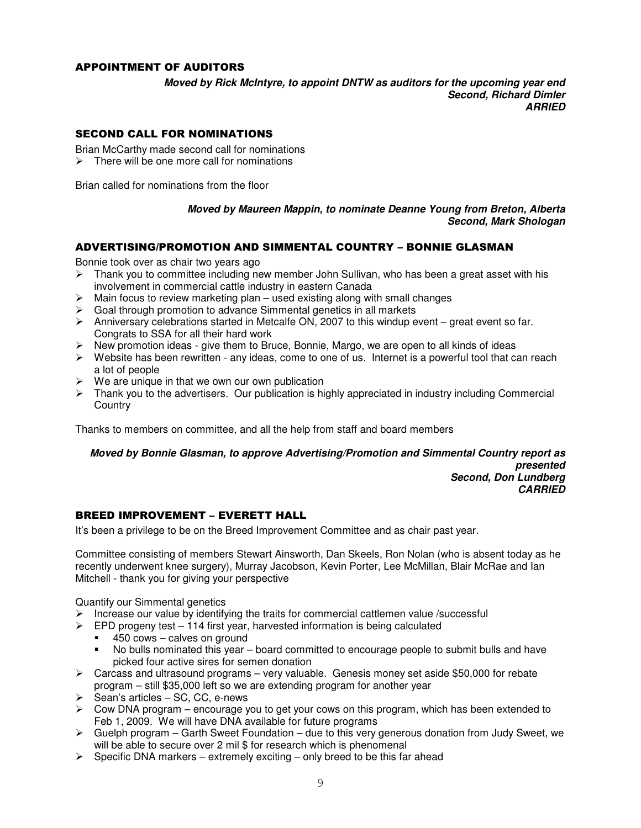### APPOINTMENT OF AUDITORS

*Moved by Rick McIntyre, to appoint DNTW as auditors for the upcoming year end Second, Richard Dimler ARRIED*

### SECOND CALL FOR NOMINATIONS

Brian McCarthy made second call for nominations

 $\triangleright$  There will be one more call for nominations

Brian called for nominations from the floor

### *Moved by Maureen Mappin, to nominate Deanne Young from Breton, Alberta Second, Mark Shologan*

### ADVERTISING/PROMOTION AND SIMMENTAL COUNTRY – BONNIE GLASMAN

Bonnie took over as chair two years ago

- $\triangleright$  Thank you to committee including new member John Sullivan, who has been a great asset with his involvement in commercial cattle industry in eastern Canada
- $\triangleright$  Main focus to review marketing plan used existing along with small changes
- $\triangleright$  Goal through promotion to advance Simmental genetics in all markets
- $\triangleright$  Anniversary celebrations started in Metcalfe ON, 2007 to this windup event great event so far. Congrats to SSA for all their hard work
- $\triangleright$  New promotion ideas give them to Bruce, Bonnie, Margo, we are open to all kinds of ideas
- $\triangleright$  Website has been rewritten any ideas, come to one of us. Internet is a powerful tool that can reach a lot of people
- $\triangleright$  We are unique in that we own our own publication
- $\triangleright$  Thank you to the advertisers. Our publication is highly appreciated in industry including Commercial **Country**

Thanks to members on committee, and all the help from staff and board members

*Moved by Bonnie Glasman, to approve Advertising/Promotion and Simmental Country report as presented Second, Don Lundberg CARRIED*

### BREED IMPROVEMENT – EVERETT HALL

It's been a privilege to be on the Breed Improvement Committee and as chair past year.

Committee consisting of members Stewart Ainsworth, Dan Skeels, Ron Nolan (who is absent today as he recently underwent knee surgery), Murray Jacobson, Kevin Porter, Lee McMillan, Blair McRae and Ian Mitchell - thank you for giving your perspective

Quantify our Simmental genetics

- $\triangleright$  Increase our value by identifying the traits for commercial cattlemen value /successful
- $\triangleright$  EPD progeny test 114 first year, harvested information is being calculated
	- -450 cows – calves on ground
	- - No bulls nominated this year – board committed to encourage people to submit bulls and have picked four active sires for semen donation
- $\triangleright$  Carcass and ultrasound programs very valuable. Genesis money set aside \$50,000 for rebate program – still \$35,000 left so we are extending program for another year
- $\triangleright$  Sean's articles SC, CC, e-news
- $\triangleright$  Cow DNA program encourage you to get your cows on this program, which has been extended to Feb 1, 2009. We will have DNA available for future programs
- $\triangleright$  Guelph program Garth Sweet Foundation due to this very generous donation from Judy Sweet, we will be able to secure over 2 mil \$ for research which is phenomenal
- $\triangleright$  Specific DNA markers extremely exciting only breed to be this far ahead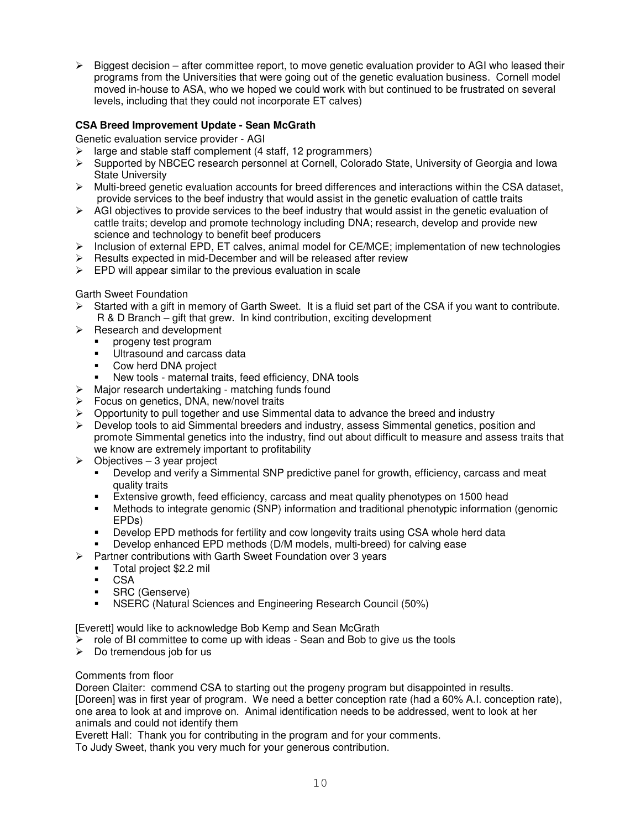$\triangleright$  Biggest decision – after committee report, to move genetic evaluation provider to AGI who leased their programs from the Universities that were going out of the genetic evaluation business. Cornell model moved in-house to ASA, who we hoped we could work with but continued to be frustrated on several levels, including that they could not incorporate ET calves)

### **CSA Breed Improvement Update - Sean McGrath**

Genetic evaluation service provider - AGI

- $\geq$  large and stable staff complement (4 staff, 12 programmers)
- $\triangleright$  Supported by NBCEC research personnel at Cornell, Colorado State, University of Georgia and Iowa State University
- $\triangleright$  Multi-breed genetic evaluation accounts for breed differences and interactions within the CSA dataset, provide services to the beef industry that would assist in the genetic evaluation of cattle traits
- $\triangleright$  AGI objectives to provide services to the beef industry that would assist in the genetic evaluation of cattle traits; develop and promote technology including DNA; research, develop and provide new science and technology to benefit beef producers
- $\triangleright$  Inclusion of external EPD, ET calves, animal model for CE/MCE; implementation of new technologies
- $\triangleright$  Results expected in mid-December and will be released after review
- $\triangleright$  EPD will appear similar to the previous evaluation in scale

### Garth Sweet Foundation

- Started with a gift in memory of Garth Sweet. It is a fluid set part of the CSA if you want to contribute. R & D Branch – gift that grew. In kind contribution, exciting development
- $\triangleright$  Research and development
	- progeny test program
	- -Ultrasound and carcass data
	- -Cow herd DNA project
	- -New tools - maternal traits, feed efficiency, DNA tools
- $\triangleright$  Major research undertaking matching funds found
- $\triangleright$  Focus on genetics, DNA, new/novel traits
- Opportunity to pull together and use Simmental data to advance the breed and industry
- $\triangleright$  Develop tools to aid Simmental breeders and industry, assess Simmental genetics, position and promote Simmental genetics into the industry, find out about difficult to measure and assess traits that we know are extremely important to profitability
- $\triangleright$  Objectives 3 year project
	- - Develop and verify a Simmental SNP predictive panel for growth, efficiency, carcass and meat quality traits
	- -Extensive growth, feed efficiency, carcass and meat quality phenotypes on 1500 head
	- Methods to integrate genomic (SNP) information and traditional phenotypic information (genomic EPDs)
	- -Develop EPD methods for fertility and cow longevity traits using CSA whole herd data
	- -Develop enhanced EPD methods (D/M models, multi-breed) for calving ease
- Partner contributions with Garth Sweet Foundation over 3 years
	- -Total project \$2.2 mil
	- -CSA
	- -SRC (Genserve)
	- -NSERC (Natural Sciences and Engineering Research Council (50%)

[Everett] would like to acknowledge Bob Kemp and Sean McGrath

- $\triangleright$  role of BI committee to come up with ideas Sean and Bob to give us the tools
- $\triangleright$  Do tremendous job for us

### Comments from floor

Doreen Claiter: commend CSA to starting out the progeny program but disappointed in results. [Doreen] was in first year of program. We need a better conception rate (had a 60% A.I. conception rate), one area to look at and improve on. Animal identification needs to be addressed, went to look at her animals and could not identify them

Everett Hall: Thank you for contributing in the program and for your comments.

To Judy Sweet, thank you very much for your generous contribution.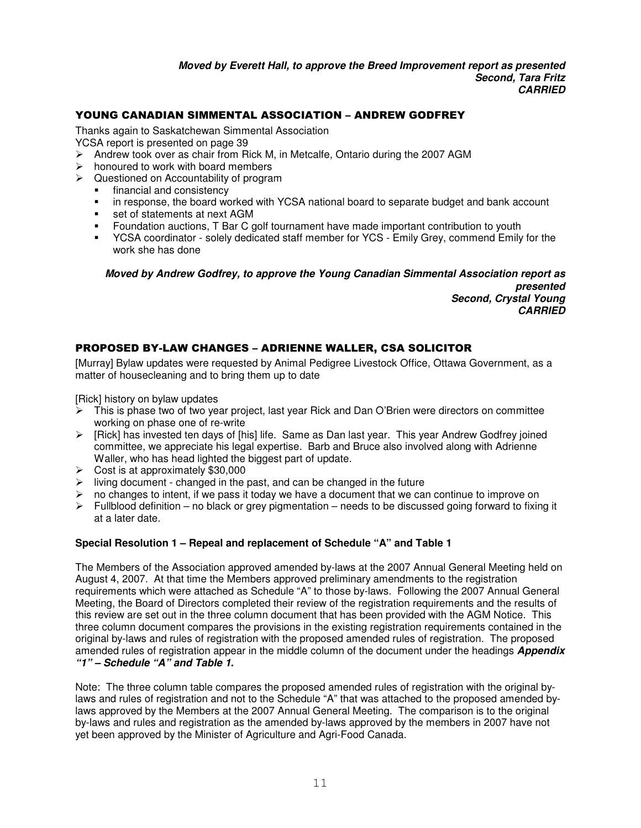### YOUNG CANADIAN SIMMENTAL ASSOCIATION – ANDREW GODFREY

Thanks again to Saskatchewan Simmental Association

YCSA report is presented on page 39

- $\triangleright$  Andrew took over as chair from Rick M, in Metcalfe, Ontario during the 2007 AGM
- $\triangleright$  honoured to work with board members
- $\triangleright$  Questioned on Accountability of program
	- financial and consistency
	- in response, the board worked with YCSA national board to separate budget and bank account
	- set of statements at next AGM
	- -Foundation auctions, T Bar C golf tournament have made important contribution to youth
	- - YCSA coordinator - solely dedicated staff member for YCS - Emily Grey, commend Emily for the work she has done

*Moved by Andrew Godfrey, to approve the Young Canadian Simmental Association report as presented Second, Crystal Young CARRIED*

### PROPOSED BY-LAW CHANGES – ADRIENNE WALLER, CSA SOLICITOR

[Murray] Bylaw updates were requested by Animal Pedigree Livestock Office, Ottawa Government, as a matter of housecleaning and to bring them up to date

[Rick] history on bylaw updates

- This is phase two of two year project, last year Rick and Dan O'Brien were directors on committee working on phase one of re-write
- $\triangleright$  [Rick] has invested ten days of [his] life. Same as Dan last year. This year Andrew Godfrey joined committee, we appreciate his legal expertise. Barb and Bruce also involved along with Adrienne Waller, who has head lighted the biggest part of update.
- $\triangleright$  Cost is at approximately \$30,000
- $\triangleright$  living document changed in the past, and can be changed in the future
- $\triangleright$  no changes to intent, if we pass it today we have a document that we can continue to improve on
- $\triangleright$  Fullblood definition no black or grey pigmentation needs to be discussed going forward to fixing it at a later date.

### **Special Resolution 1 – Repeal and replacement of Schedule "A" and Table 1**

The Members of the Association approved amended by-laws at the 2007 Annual General Meeting held on August 4, 2007. At that time the Members approved preliminary amendments to the registration requirements which were attached as Schedule "A" to those by-laws. Following the 2007 Annual General Meeting, the Board of Directors completed their review of the registration requirements and the results of this review are set out in the three column document that has been provided with the AGM Notice. This three column document compares the provisions in the existing registration requirements contained in the original by-laws and rules of registration with the proposed amended rules of registration. The proposed amended rules of registration appear in the middle column of the document under the headings *Appendix "1" – Schedule "A" and Table 1.*

Note: The three column table compares the proposed amended rules of registration with the original bylaws and rules of registration and not to the Schedule "A" that was attached to the proposed amended bylaws approved by the Members at the 2007 Annual General Meeting. The comparison is to the original by-laws and rules and registration as the amended by-laws approved by the members in 2007 have not yet been approved by the Minister of Agriculture and Agri-Food Canada.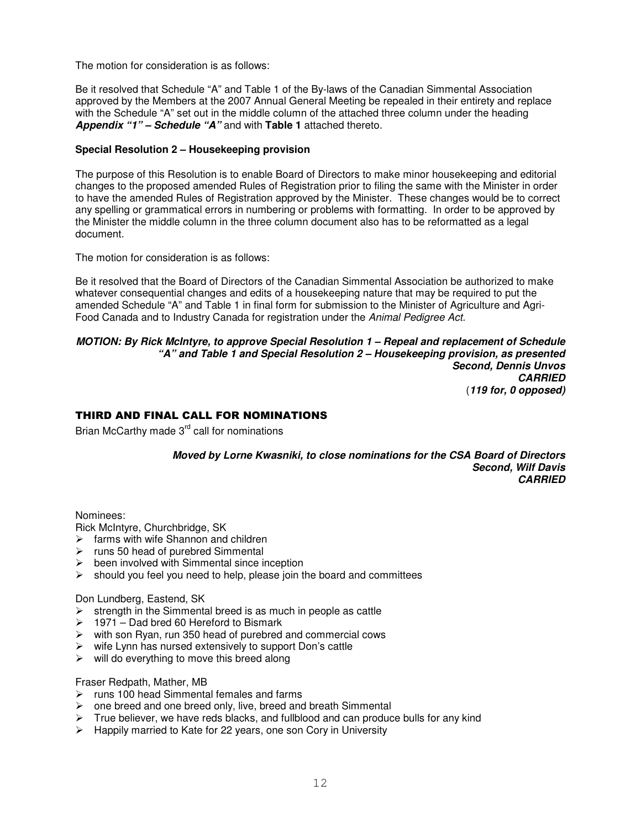The motion for consideration is as follows:

Be it resolved that Schedule "A" and Table 1 of the By-laws of the Canadian Simmental Association approved by the Members at the 2007 Annual General Meeting be repealed in their entirety and replace with the Schedule "A" set out in the middle column of the attached three column under the heading *Appendix "1" – Schedule "A"* and with **Table 1** attached thereto.

### **Special Resolution 2 – Housekeeping provision**

The purpose of this Resolution is to enable Board of Directors to make minor housekeeping and editorial changes to the proposed amended Rules of Registration prior to filing the same with the Minister in order to have the amended Rules of Registration approved by the Minister. These changes would be to correct any spelling or grammatical errors in numbering or problems with formatting. In order to be approved by the Minister the middle column in the three column document also has to be reformatted as a legal document.

The motion for consideration is as follows:

Be it resolved that the Board of Directors of the Canadian Simmental Association be authorized to make whatever consequential changes and edits of a housekeeping nature that may be required to put the amended Schedule "A" and Table 1 in final form for submission to the Minister of Agriculture and Agri-Food Canada and to Industry Canada for registration under the *Animal Pedigree Act.*

#### *MOTION: By Rick McIntyre, to approve Special Resolution 1 – Repeal and replacement of Schedule "A" and Table 1 and Special Resolution 2 – Housekeeping provision, as presented Second, Dennis Unvos CARRIED* (*119 for, 0 opposed)*

### THIRD AND FINAL CALL FOR NOMINATIONS

Brian McCarthy made 3<sup>rd</sup> call for nominations

*Moved by Lorne Kwasniki, to close nominations for the CSA Board of Directors Second, Wilf Davis CARRIED*

Nominees:

Rick McIntyre, Churchbridge, SK

- $\triangleright$  farms with wife Shannon and children
- $\triangleright$  runs 50 head of purebred Simmental
- $\triangleright$  been involved with Simmental since inception
- $\triangleright$  should you feel you need to help, please join the board and committees

### Don Lundberg, Eastend, SK

- $\triangleright$  strength in the Simmental breed is as much in people as cattle
- $\geq 1971 -$  Dad bred 60 Hereford to Bismark
- $\triangleright$  with son Ryan, run 350 head of purebred and commercial cows
- $\triangleright$  wife Lynn has nursed extensively to support Don's cattle
- $\triangleright$  will do everything to move this breed along

#### Fraser Redpath, Mather, MB

- $\triangleright$  runs 100 head Simmental females and farms
- $\triangleright$  one breed and one breed only, live, breed and breath Simmental
- $\triangleright$  True believer, we have reds blacks, and fullblood and can produce bulls for any kind
- $\triangleright$  Happily married to Kate for 22 years, one son Cory in University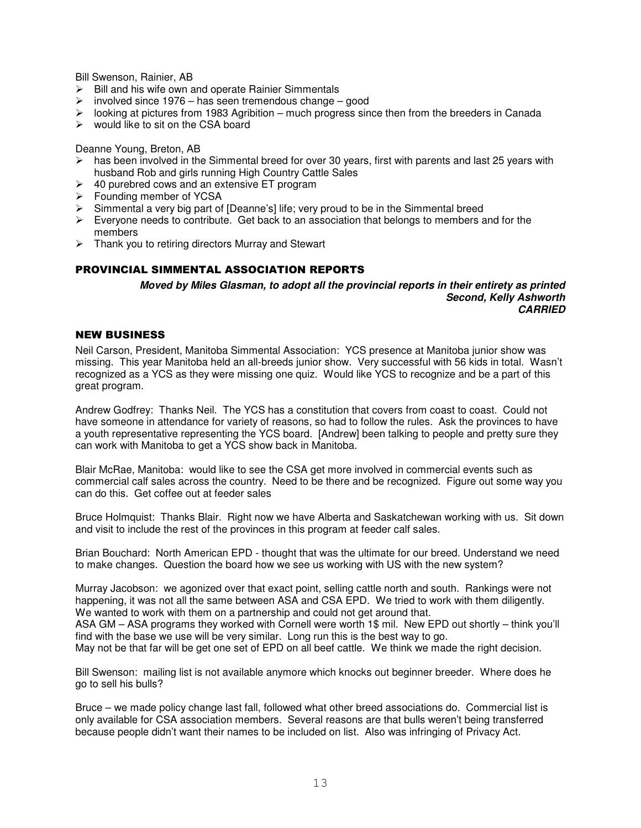Bill Swenson, Rainier, AB

- $\triangleright$  Bill and his wife own and operate Rainier Simmentals
- $\geq$  involved since 1976 has seen tremendous change good
- $\triangleright$  looking at pictures from 1983 Agribition much progress since then from the breeders in Canada
- $\triangleright$  would like to sit on the CSA board

Deanne Young, Breton, AB

- $\triangleright$  has been involved in the Simmental breed for over 30 years, first with parents and last 25 years with husband Rob and girls running High Country Cattle Sales
- $\geq$  40 purebred cows and an extensive ET program
- $\triangleright$  Founding member of YCSA
- $\triangleright$  Simmental a very big part of [Deanne's] life; very proud to be in the Simmental breed
- $\triangleright$  Everyone needs to contribute. Get back to an association that belongs to members and for the members
- $\triangleright$  Thank you to retiring directors Murray and Stewart

### PROVINCIAL SIMMENTAL ASSOCIATION REPORTS

*Moved by Miles Glasman, to adopt all the provincial reports in their entirety as printed Second, Kelly Ashworth CARRIED*

### **NEW BUSINESS**

Neil Carson, President, Manitoba Simmental Association: YCS presence at Manitoba junior show was missing. This year Manitoba held an all-breeds junior show. Very successful with 56 kids in total. Wasn't recognized as a YCS as they were missing one quiz. Would like YCS to recognize and be a part of this great program.

Andrew Godfrey: Thanks Neil. The YCS has a constitution that covers from coast to coast. Could not have someone in attendance for variety of reasons, so had to follow the rules. Ask the provinces to have a youth representative representing the YCS board. [Andrew] been talking to people and pretty sure they can work with Manitoba to get a YCS show back in Manitoba.

Blair McRae, Manitoba: would like to see the CSA get more involved in commercial events such as commercial calf sales across the country. Need to be there and be recognized. Figure out some way you can do this. Get coffee out at feeder sales

Bruce Holmquist: Thanks Blair. Right now we have Alberta and Saskatchewan working with us. Sit down and visit to include the rest of the provinces in this program at feeder calf sales.

Brian Bouchard: North American EPD - thought that was the ultimate for our breed. Understand we need to make changes. Question the board how we see us working with US with the new system?

Murray Jacobson: we agonized over that exact point, selling cattle north and south. Rankings were not happening, it was not all the same between ASA and CSA EPD. We tried to work with them diligently. We wanted to work with them on a partnership and could not get around that. ASA GM – ASA programs they worked with Cornell were worth 1\$ mil. New EPD out shortly – think you'll

find with the base we use will be very similar. Long run this is the best way to go. May not be that far will be get one set of EPD on all beef cattle. We think we made the right decision.

Bill Swenson: mailing list is not available anymore which knocks out beginner breeder. Where does he go to sell his bulls?

Bruce – we made policy change last fall, followed what other breed associations do. Commercial list is only available for CSA association members. Several reasons are that bulls weren't being transferred because people didn't want their names to be included on list. Also was infringing of Privacy Act.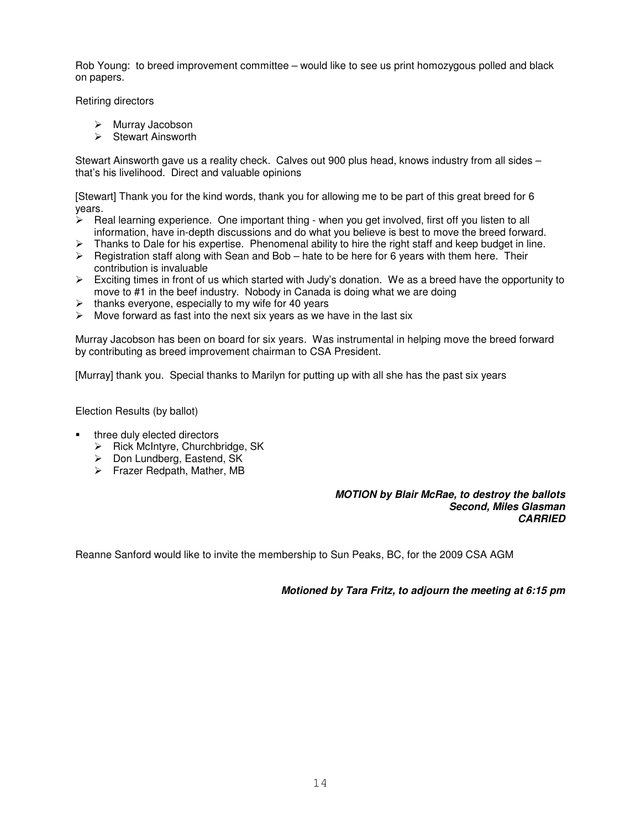Rob Young: to breed improvement committee – would like to see us print homozygous polled and black on papers.

Retiring directors

- Murray Jacobson
- $\triangleright$  Stewart Ainsworth

Stewart Ainsworth gave us a reality check. Calves out 900 plus head, knows industry from all sides – that's his livelihood. Direct and valuable opinions

[Stewart] Thank you for the kind words, thank you for allowing me to be part of this great breed for 6 years.

- $\triangleright$  Real learning experience. One important thing when you get involved, first off you listen to all information, have in-depth discussions and do what you believe is best to move the breed forward.
- $\triangleright$  Thanks to Dale for his expertise. Phenomenal ability to hire the right staff and keep budget in line.
- $\triangleright$  Registration staff along with Sean and Bob hate to be here for 6 years with them here. Their contribution is invaluable
- $\triangleright$  Exciting times in front of us which started with Judy's donation. We as a breed have the opportunity to move to #1 in the beef industry. Nobody in Canada is doing what we are doing
- $\geq$  thanks everyone, especially to my wife for 40 years  $\geq$  Move forward as fast into the next six years as we b
- Move forward as fast into the next six years as we have in the last six

Murray Jacobson has been on board for six years. Was instrumental in helping move the breed forward by contributing as breed improvement chairman to CSA President.

[Murray] thank you. Special thanks to Marilyn for putting up with all she has the past six years

Election Results (by ballot)

- three duly elected directors
	- $\triangleright$  Rick McIntyre, Churchbridge, SK
	- $\triangleright$  Don Lundberg, Eastend, SK
	- Frazer Redpath, Mather, MB

### *MOTION by Blair McRae, to destroy the ballots Second, Miles Glasman CARRIED*

Reanne Sanford would like to invite the membership to Sun Peaks, BC, for the 2009 CSA AGM

*Motioned by Tara Fritz, to adjourn the meeting at 6:15 pm*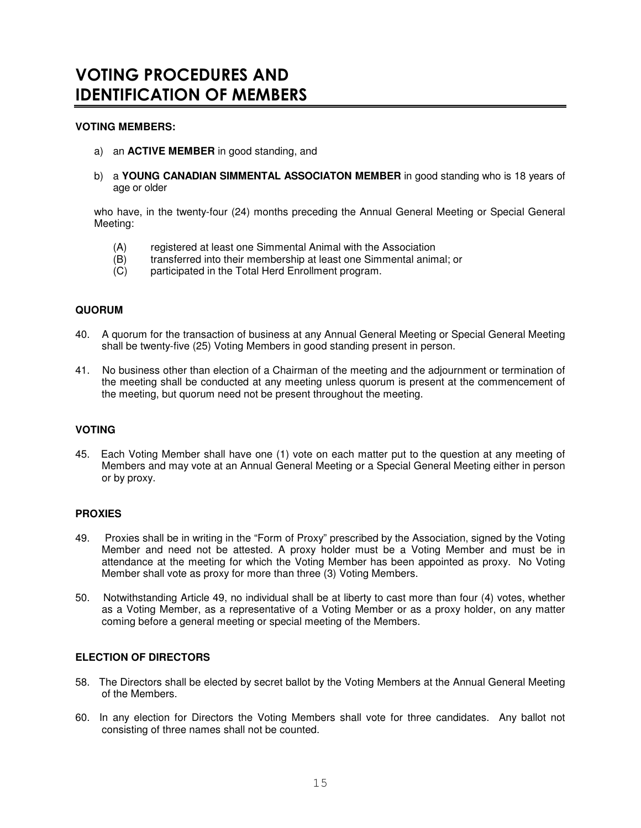# VOTING PROCEDURES AND **IDENTIFICATION OF MEMBERS**

### **VOTING MEMBERS:**

- a) an **ACTIVE MEMBER** in good standing, and
- b) a **YOUNG CANADIAN SIMMENTAL ASSOCIATON MEMBER** in good standing who is 18 years of age or older

who have, in the twenty-four (24) months preceding the Annual General Meeting or Special General Meeting:

- (A) registered at least one Simmental Animal with the Association<br>(B) transferred into their membership at least one Simmental anim
- transferred into their membership at least one Simmental animal; or
- (C) participated in the Total Herd Enrollment program.

### **QUORUM**

- 40. A quorum for the transaction of business at any Annual General Meeting or Special General Meeting shall be twenty-five (25) Voting Members in good standing present in person.
- 41. No business other than election of a Chairman of the meeting and the adjournment or termination of the meeting shall be conducted at any meeting unless quorum is present at the commencement of the meeting, but quorum need not be present throughout the meeting.

### **VOTING**

45. Each Voting Member shall have one (1) vote on each matter put to the question at any meeting of Members and may vote at an Annual General Meeting or a Special General Meeting either in person or by proxy.

### **PROXIES**

- 49. Proxies shall be in writing in the "Form of Proxy" prescribed by the Association, signed by the Voting Member and need not be attested. A proxy holder must be a Voting Member and must be in attendance at the meeting for which the Voting Member has been appointed as proxy. No Voting Member shall vote as proxy for more than three (3) Voting Members.
- 50. Notwithstanding Article 49, no individual shall be at liberty to cast more than four (4) votes, whether as a Voting Member, as a representative of a Voting Member or as a proxy holder, on any matter coming before a general meeting or special meeting of the Members.

### **ELECTION OF DIRECTORS**

- 58. The Directors shall be elected by secret ballot by the Voting Members at the Annual General Meeting of the Members.
- 60. In any election for Directors the Voting Members shall vote for three candidates. Any ballot not consisting of three names shall not be counted.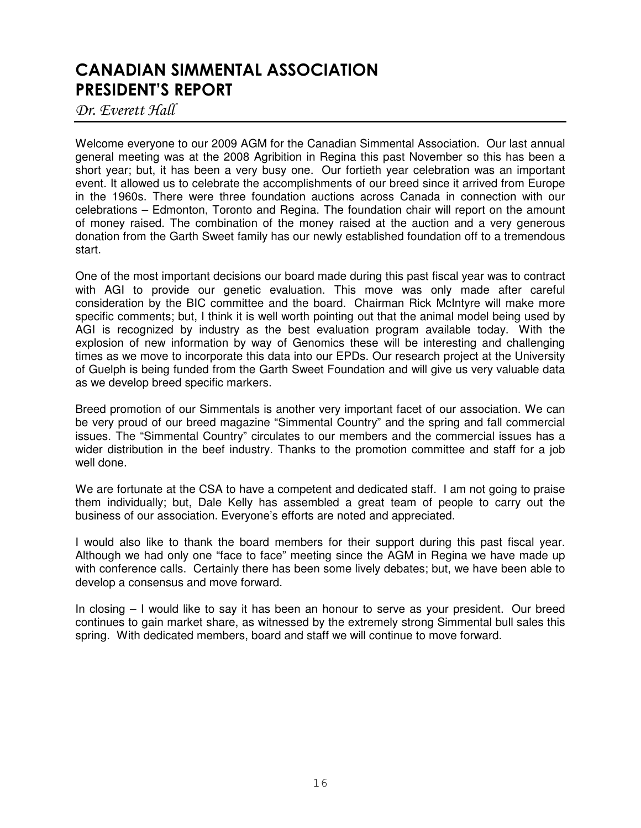# CANADIAN SIMMENTAL ASSOCIATION **PRESIDENT'S REPORT**

Dr. Everett Hall

Welcome everyone to our 2009 AGM for the Canadian Simmental Association. Our last annual general meeting was at the 2008 Agribition in Regina this past November so this has been a short year; but, it has been a very busy one. Our fortieth year celebration was an important event. It allowed us to celebrate the accomplishments of our breed since it arrived from Europe in the 1960s. There were three foundation auctions across Canada in connection with our celebrations – Edmonton, Toronto and Regina. The foundation chair will report on the amount of money raised. The combination of the money raised at the auction and a very generous donation from the Garth Sweet family has our newly established foundation off to a tremendous start.

One of the most important decisions our board made during this past fiscal year was to contract with AGI to provide our genetic evaluation. This move was only made after careful consideration by the BIC committee and the board. Chairman Rick McIntyre will make more specific comments; but, I think it is well worth pointing out that the animal model being used by AGI is recognized by industry as the best evaluation program available today. With the explosion of new information by way of Genomics these will be interesting and challenging times as we move to incorporate this data into our EPDs. Our research project at the University of Guelph is being funded from the Garth Sweet Foundation and will give us very valuable data as we develop breed specific markers.

Breed promotion of our Simmentals is another very important facet of our association. We can be very proud of our breed magazine "Simmental Country" and the spring and fall commercial issues. The "Simmental Country" circulates to our members and the commercial issues has a wider distribution in the beef industry. Thanks to the promotion committee and staff for a job well done.

We are fortunate at the CSA to have a competent and dedicated staff. I am not going to praise them individually; but, Dale Kelly has assembled a great team of people to carry out the business of our association. Everyone's efforts are noted and appreciated.

I would also like to thank the board members for their support during this past fiscal year. Although we had only one "face to face" meeting since the AGM in Regina we have made up with conference calls. Certainly there has been some lively debates; but, we have been able to develop a consensus and move forward.

In closing – I would like to say it has been an honour to serve as your president. Our breed continues to gain market share, as witnessed by the extremely strong Simmental bull sales this spring. With dedicated members, board and staff we will continue to move forward.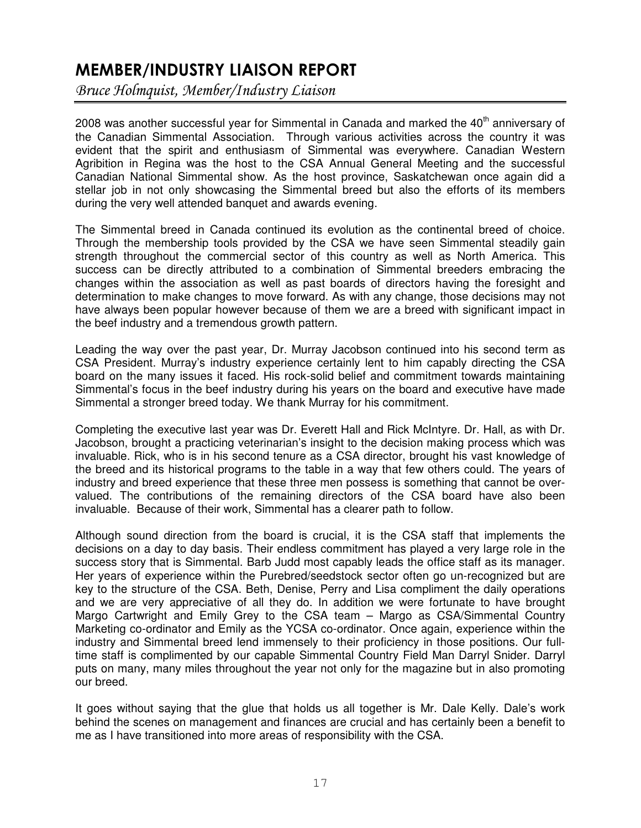# MEMBER/INDUSTRY LIAISON REPORT

Bruce Holmquist, Member/Industry Liaison

2008 was another successful year for Simmental in Canada and marked the 40<sup>th</sup> anniversary of the Canadian Simmental Association. Through various activities across the country it was evident that the spirit and enthusiasm of Simmental was everywhere. Canadian Western Agribition in Regina was the host to the CSA Annual General Meeting and the successful Canadian National Simmental show. As the host province, Saskatchewan once again did a stellar job in not only showcasing the Simmental breed but also the efforts of its members during the very well attended banquet and awards evening.

The Simmental breed in Canada continued its evolution as the continental breed of choice. Through the membership tools provided by the CSA we have seen Simmental steadily gain strength throughout the commercial sector of this country as well as North America. This success can be directly attributed to a combination of Simmental breeders embracing the changes within the association as well as past boards of directors having the foresight and determination to make changes to move forward. As with any change, those decisions may not have always been popular however because of them we are a breed with significant impact in the beef industry and a tremendous growth pattern.

Leading the way over the past year, Dr. Murray Jacobson continued into his second term as CSA President. Murray's industry experience certainly lent to him capably directing the CSA board on the many issues it faced. His rock-solid belief and commitment towards maintaining Simmental's focus in the beef industry during his years on the board and executive have made Simmental a stronger breed today. We thank Murray for his commitment.

Completing the executive last year was Dr. Everett Hall and Rick McIntyre. Dr. Hall, as with Dr. Jacobson, brought a practicing veterinarian's insight to the decision making process which was invaluable. Rick, who is in his second tenure as a CSA director, brought his vast knowledge of the breed and its historical programs to the table in a way that few others could. The years of industry and breed experience that these three men possess is something that cannot be overvalued. The contributions of the remaining directors of the CSA board have also been invaluable. Because of their work, Simmental has a clearer path to follow.

Although sound direction from the board is crucial, it is the CSA staff that implements the decisions on a day to day basis. Their endless commitment has played a very large role in the success story that is Simmental. Barb Judd most capably leads the office staff as its manager. Her years of experience within the Purebred/seedstock sector often go un-recognized but are key to the structure of the CSA. Beth, Denise, Perry and Lisa compliment the daily operations and we are very appreciative of all they do. In addition we were fortunate to have brought Margo Cartwright and Emily Grey to the CSA team – Margo as CSA/Simmental Country Marketing co-ordinator and Emily as the YCSA co-ordinator. Once again, experience within the industry and Simmental breed lend immensely to their proficiency in those positions. Our fulltime staff is complimented by our capable Simmental Country Field Man Darryl Snider. Darryl puts on many, many miles throughout the year not only for the magazine but in also promoting our breed.

It goes without saying that the glue that holds us all together is Mr. Dale Kelly. Dale's work behind the scenes on management and finances are crucial and has certainly been a benefit to me as I have transitioned into more areas of responsibility with the CSA.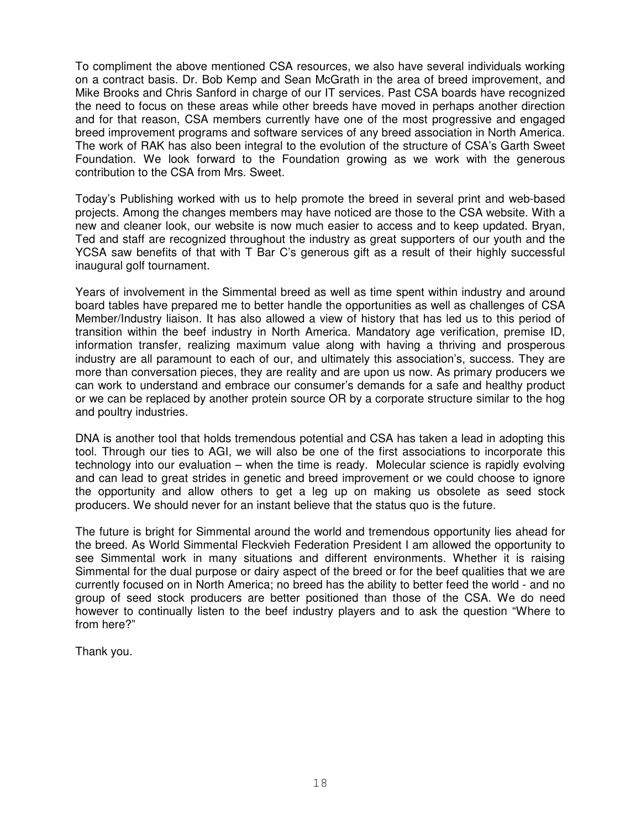To compliment the above mentioned CSA resources, we also have several individuals working on a contract basis. Dr. Bob Kemp and Sean McGrath in the area of breed improvement, and Mike Brooks and Chris Sanford in charge of our IT services. Past CSA boards have recognized the need to focus on these areas while other breeds have moved in perhaps another direction and for that reason, CSA members currently have one of the most progressive and engaged breed improvement programs and software services of any breed association in North America. The work of RAK has also been integral to the evolution of the structure of CSA's Garth Sweet Foundation. We look forward to the Foundation growing as we work with the generous contribution to the CSA from Mrs. Sweet.

Today's Publishing worked with us to help promote the breed in several print and web-based projects. Among the changes members may have noticed are those to the CSA website. With a new and cleaner look, our website is now much easier to access and to keep updated. Bryan, Ted and staff are recognized throughout the industry as great supporters of our youth and the YCSA saw benefits of that with T Bar C's generous gift as a result of their highly successful inaugural golf tournament.

Years of involvement in the Simmental breed as well as time spent within industry and around board tables have prepared me to better handle the opportunities as well as challenges of CSA Member/Industry liaison. It has also allowed a view of history that has led us to this period of transition within the beef industry in North America. Mandatory age verification, premise ID, information transfer, realizing maximum value along with having a thriving and prosperous industry are all paramount to each of our, and ultimately this association's, success. They are more than conversation pieces, they are reality and are upon us now. As primary producers we can work to understand and embrace our consumer's demands for a safe and healthy product or we can be replaced by another protein source OR by a corporate structure similar to the hog and poultry industries.

DNA is another tool that holds tremendous potential and CSA has taken a lead in adopting this tool. Through our ties to AGI, we will also be one of the first associations to incorporate this technology into our evaluation – when the time is ready. Molecular science is rapidly evolving and can lead to great strides in genetic and breed improvement or we could choose to ignore the opportunity and allow others to get a leg up on making us obsolete as seed stock producers. We should never for an instant believe that the status quo is the future.

The future is bright for Simmental around the world and tremendous opportunity lies ahead for the breed. As World Simmental Fleckvieh Federation President I am allowed the opportunity to see Simmental work in many situations and different environments. Whether it is raising Simmental for the dual purpose or dairy aspect of the breed or for the beef qualities that we are currently focused on in North America; no breed has the ability to better feed the world - and no group of seed stock producers are better positioned than those of the CSA. We do need however to continually listen to the beef industry players and to ask the question "Where to from here?"

Thank you.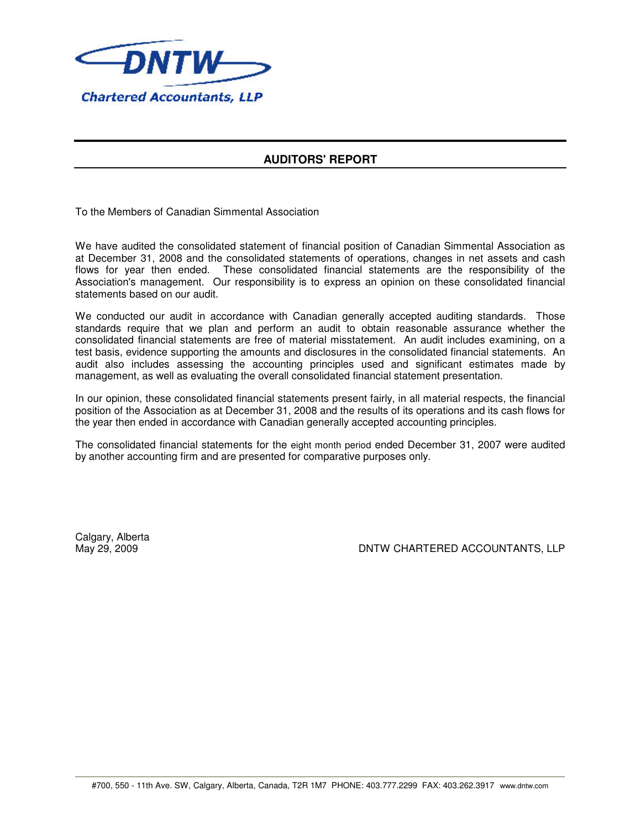

## **AUDITORS' REPORT**

To the Members of Canadian Simmental Association

We have audited the consolidated statement of financial position of Canadian Simmental Association as at December 31, 2008 and the consolidated statements of operations, changes in net assets and cash flows for year then ended. These consolidated financial statements are the responsibility of the Association's management. Our responsibility is to express an opinion on these consolidated financial statements based on our audit.

We conducted our audit in accordance with Canadian generally accepted auditing standards. Those standards require that we plan and perform an audit to obtain reasonable assurance whether the consolidated financial statements are free of material misstatement. An audit includes examining, on a test basis, evidence supporting the amounts and disclosures in the consolidated financial statements. An audit also includes assessing the accounting principles used and significant estimates made by management, as well as evaluating the overall consolidated financial statement presentation.

In our opinion, these consolidated financial statements present fairly, in all material respects, the financial position of the Association as at December 31, 2008 and the results of its operations and its cash flows for the year then ended in accordance with Canadian generally accepted accounting principles.

The consolidated financial statements for the eight month period ended December 31, 2007 were audited by another accounting firm and are presented for comparative purposes only.

Calgary, Alberta

May 29, 2009 DNTW CHARTERED ACCOUNTANTS, LLP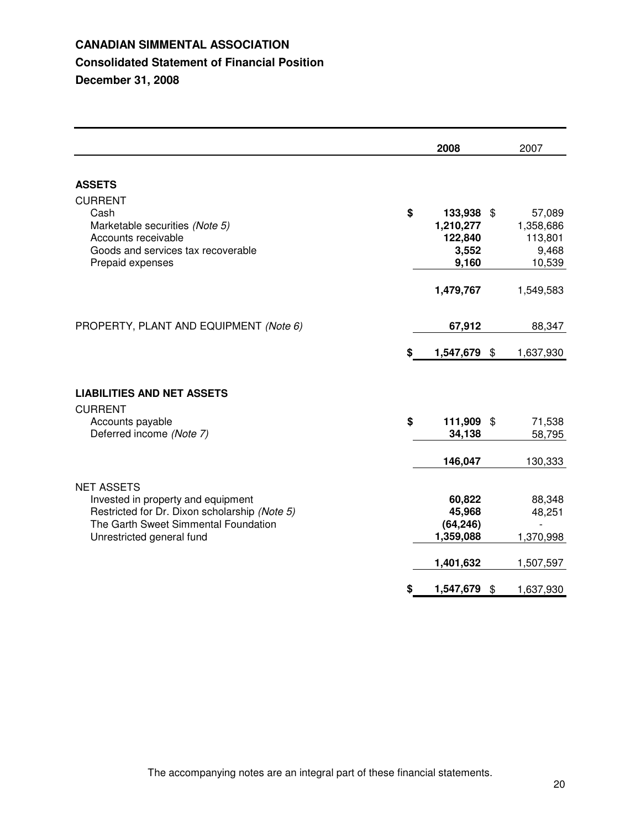## **CANADIAN SIMMENTAL ASSOCIATION Consolidated Statement of Financial Position December 31, 2008**

|                                                                                                                                                                               |    | 2008                                                 | 2007                                              |
|-------------------------------------------------------------------------------------------------------------------------------------------------------------------------------|----|------------------------------------------------------|---------------------------------------------------|
| <b>ASSETS</b>                                                                                                                                                                 |    |                                                      |                                                   |
| <b>CURRENT</b><br>Cash<br>Marketable securities (Note 5)<br>Accounts receivable<br>Goods and services tax recoverable<br>Prepaid expenses                                     | \$ | 133,938 \$<br>1,210,277<br>122,840<br>3,552<br>9,160 | 57,089<br>1,358,686<br>113,801<br>9,468<br>10,539 |
|                                                                                                                                                                               |    | 1,479,767                                            | 1,549,583                                         |
| PROPERTY, PLANT AND EQUIPMENT (Note 6)                                                                                                                                        |    | 67,912                                               | 88,347                                            |
|                                                                                                                                                                               | S  | 1,547,679 \$                                         | 1,637,930                                         |
| <b>LIABILITIES AND NET ASSETS</b><br><b>CURRENT</b>                                                                                                                           |    |                                                      |                                                   |
| Accounts payable<br>Deferred income (Note 7)                                                                                                                                  | \$ | 111,909 \$<br>34,138                                 | 71,538<br>58,795                                  |
|                                                                                                                                                                               |    | 146,047                                              | 130,333                                           |
| <b>NET ASSETS</b><br>Invested in property and equipment<br>Restricted for Dr. Dixon scholarship (Note 5)<br>The Garth Sweet Simmental Foundation<br>Unrestricted general fund |    | 60,822<br>45,968<br>(64, 246)<br>1,359,088           | 88,348<br>48,251<br>1,370,998                     |
|                                                                                                                                                                               |    | 1,401,632<br>1,547,679                               | \$<br>1,507,597<br>1,637,930                      |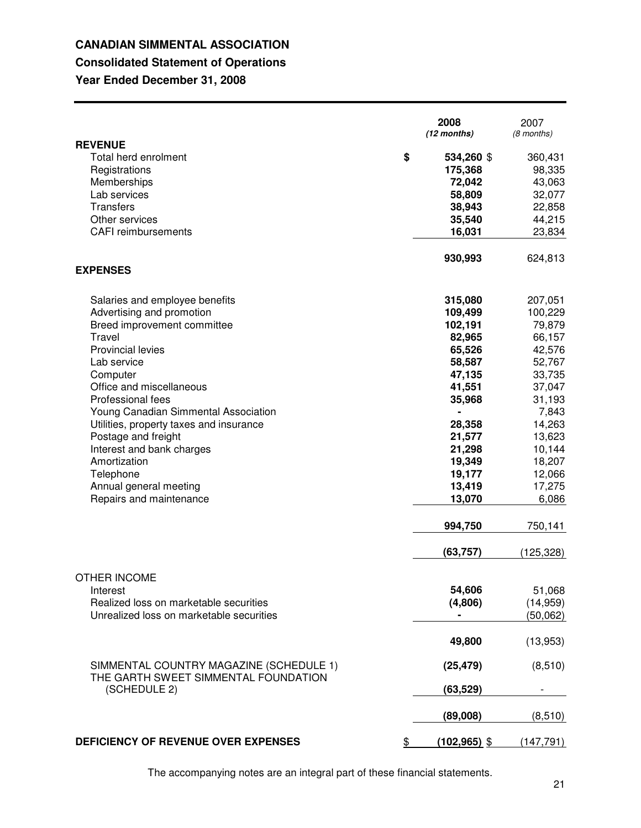## **CANADIAN SIMMENTAL ASSOCIATION Consolidated Statement of Operations**

# **Year Ended December 31, 2008**

|                                                                                 | 2008<br>(12 months)   | 2007<br>(8 months) |
|---------------------------------------------------------------------------------|-----------------------|--------------------|
| <b>REVENUE</b>                                                                  |                       |                    |
| Total herd enrolment                                                            | \$<br>534,260 \$      | 360,431            |
| Registrations                                                                   | 175,368               | 98,335             |
| Memberships                                                                     | 72,042                | 43,063             |
| Lab services                                                                    | 58,809                | 32,077             |
| <b>Transfers</b>                                                                | 38,943                | 22,858             |
| Other services                                                                  | 35,540                | 44,215             |
| <b>CAFI</b> reimbursements                                                      | 16,031                | 23,834             |
| <b>EXPENSES</b>                                                                 | 930,993               | 624,813            |
|                                                                                 |                       |                    |
| Salaries and employee benefits                                                  | 315,080               | 207,051            |
| Advertising and promotion                                                       | 109,499               | 100,229            |
| Breed improvement committee                                                     | 102,191               | 79,879             |
| Travel                                                                          | 82,965                | 66,157             |
| <b>Provincial levies</b>                                                        | 65,526                | 42,576             |
| Lab service                                                                     | 58,587                | 52,767             |
| Computer                                                                        | 47,135                | 33,735             |
| Office and miscellaneous                                                        | 41,551                | 37,047             |
| Professional fees                                                               | 35,968                | 31,193             |
| Young Canadian Simmental Association                                            | $\blacksquare$        | 7,843              |
| Utilities, property taxes and insurance                                         | 28,358                | 14,263             |
| Postage and freight                                                             | 21,577                | 13,623             |
| Interest and bank charges                                                       | 21,298                | 10,144             |
| Amortization                                                                    | 19,349                | 18,207             |
| Telephone                                                                       | 19,177                | 12,066             |
| Annual general meeting                                                          | 13,419                | 17,275             |
| Repairs and maintenance                                                         | 13,070                | 6,086              |
|                                                                                 | 994,750               | 750,141            |
|                                                                                 | (63, 757)             | (125, 328)         |
| <b>OTHER INCOME</b>                                                             |                       |                    |
| Interest                                                                        | 54,606                | 51,068             |
| Realized loss on marketable securities                                          | (4,806)               | (14, 959)          |
| Unrealized loss on marketable securities                                        |                       | (50,062)           |
|                                                                                 | 49,800                | (13,953)           |
| SIMMENTAL COUNTRY MAGAZINE (SCHEDULE 1)<br>THE GARTH SWEET SIMMENTAL FOUNDATION | (25, 479)             | (8,510)            |
| (SCHEDULE 2)                                                                    | (63, 529)             |                    |
|                                                                                 | (89,008)              | (8, 510)           |
| DEFICIENCY OF REVENUE OVER EXPENSES                                             | \$<br>$(102, 965)$ \$ | (147, 791)         |

The accompanying notes are an integral part of these financial statements.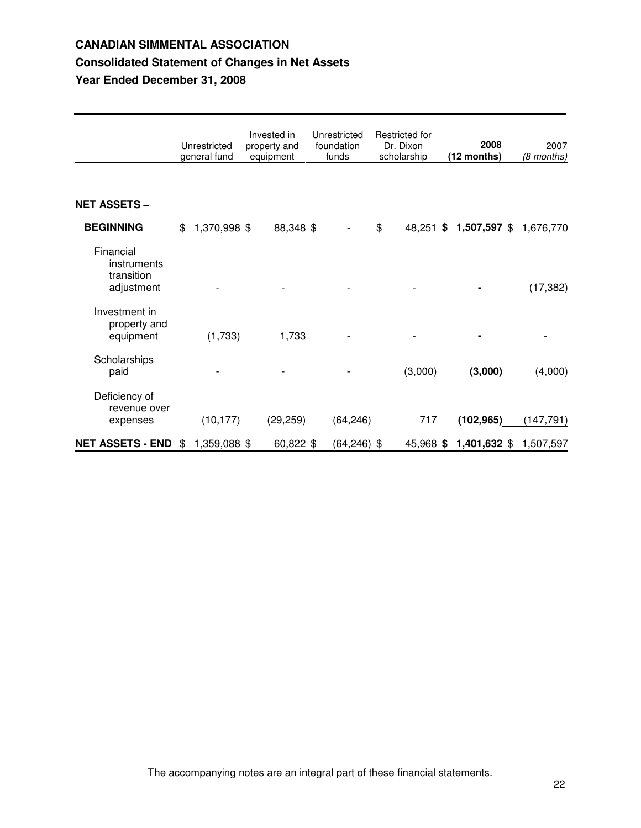## **CANADIAN SIMMENTAL ASSOCIATION Consolidated Statement of Changes in Net Assets Year Ended December 31, 2008**

|                                                      | Unrestricted<br>general fund | Invested in<br>property and<br>equipment | Unrestricted<br>foundation<br>funds | Restricted for<br>Dr. Dixon<br>scholarship | 2008<br>(12 months)    | 2007<br>(8 months) |
|------------------------------------------------------|------------------------------|------------------------------------------|-------------------------------------|--------------------------------------------|------------------------|--------------------|
| <b>NET ASSETS -</b>                                  |                              |                                          |                                     |                                            |                        |                    |
| <b>BEGINNING</b>                                     | \$<br>1,370,998 \$           | 88,348 \$                                |                                     | \$                                         | 48,251 \$ 1,507,597 \$ | 1,676,770          |
| Financial<br>instruments<br>transition<br>adjustment |                              |                                          |                                     |                                            |                        | (17, 382)          |
| Investment in<br>property and<br>equipment           | (1,733)                      | 1,733                                    |                                     |                                            |                        |                    |
| Scholarships<br>paid                                 |                              |                                          |                                     | (3,000)                                    | (3,000)                | (4,000)            |
| Deficiency of<br>revenue over<br>expenses            | (10,177)                     | (29, 259)                                | (64, 246)                           | 717                                        | (102, 965)             | (147, 791)         |
| <b>NET ASSETS - END</b>                              | \$<br>1,359,088 \$           | 60,822 \$                                | $(64, 246)$ \$                      | 45,968 \$                                  | 1,401,632 \$           | 1,507,597          |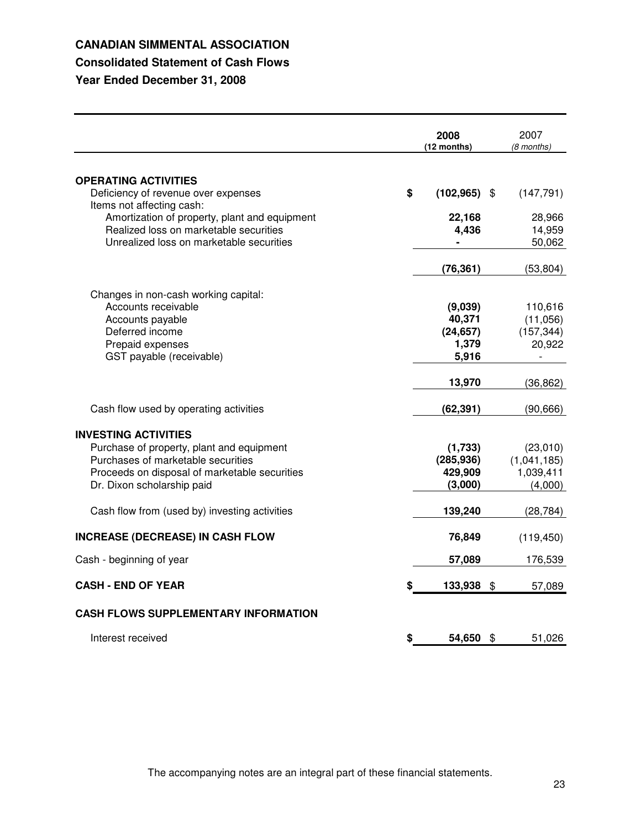## **CANADIAN SIMMENTAL ASSOCIATION**

## **Consolidated Statement of Cash Flows**

**Year Ended December 31, 2008**

| <b>OPERATING ACTIVITIES</b><br>\$<br>Deficiency of revenue over expenses<br>$(102, 965)$ \$<br>(147, 791)<br>Items not affecting cash:<br>Amortization of property, plant and equipment<br>28,966<br>22,168<br>Realized loss on marketable securities<br>14,959<br>4,436<br>Unrealized loss on marketable securities<br>50,062<br>(76, 361)<br>(53, 804)<br>Changes in non-cash working capital:<br>Accounts receivable<br>(9,039)<br>110,616<br>40,371<br>(11,056)<br>Accounts payable<br>Deferred income<br>(24, 657)<br>(157, 344)<br>Prepaid expenses<br>1,379<br>20,922<br>5,916<br>GST payable (receivable)<br>13,970<br>(36, 862)<br>Cash flow used by operating activities<br>(62, 391)<br>(90, 666)<br><b>INVESTING ACTIVITIES</b><br>Purchase of property, plant and equipment<br>(1,733)<br>(23,010)<br>Purchases of marketable securities<br>(1,041,185)<br>(285, 936)<br>Proceeds on disposal of marketable securities<br>1,039,411<br>429,909<br>Dr. Dixon scholarship paid<br>(3,000)<br>(4,000)<br>Cash flow from (used by) investing activities<br>139,240<br>(28, 784)<br><b>INCREASE (DECREASE) IN CASH FLOW</b><br>76,849<br>(119, 450)<br>Cash - beginning of year<br>57,089<br>176,539<br><b>CASH - END OF YEAR</b><br>133,938<br>\$<br>57,089<br><b>CASH FLOWS SUPPLEMENTARY INFORMATION</b> |                   | 2008<br>(12 months) | 2007<br>(8 months) |
|---------------------------------------------------------------------------------------------------------------------------------------------------------------------------------------------------------------------------------------------------------------------------------------------------------------------------------------------------------------------------------------------------------------------------------------------------------------------------------------------------------------------------------------------------------------------------------------------------------------------------------------------------------------------------------------------------------------------------------------------------------------------------------------------------------------------------------------------------------------------------------------------------------------------------------------------------------------------------------------------------------------------------------------------------------------------------------------------------------------------------------------------------------------------------------------------------------------------------------------------------------------------------------------------------------------------|-------------------|---------------------|--------------------|
|                                                                                                                                                                                                                                                                                                                                                                                                                                                                                                                                                                                                                                                                                                                                                                                                                                                                                                                                                                                                                                                                                                                                                                                                                                                                                                                     |                   |                     |                    |
|                                                                                                                                                                                                                                                                                                                                                                                                                                                                                                                                                                                                                                                                                                                                                                                                                                                                                                                                                                                                                                                                                                                                                                                                                                                                                                                     |                   |                     |                    |
|                                                                                                                                                                                                                                                                                                                                                                                                                                                                                                                                                                                                                                                                                                                                                                                                                                                                                                                                                                                                                                                                                                                                                                                                                                                                                                                     |                   |                     |                    |
|                                                                                                                                                                                                                                                                                                                                                                                                                                                                                                                                                                                                                                                                                                                                                                                                                                                                                                                                                                                                                                                                                                                                                                                                                                                                                                                     |                   |                     |                    |
|                                                                                                                                                                                                                                                                                                                                                                                                                                                                                                                                                                                                                                                                                                                                                                                                                                                                                                                                                                                                                                                                                                                                                                                                                                                                                                                     |                   |                     |                    |
|                                                                                                                                                                                                                                                                                                                                                                                                                                                                                                                                                                                                                                                                                                                                                                                                                                                                                                                                                                                                                                                                                                                                                                                                                                                                                                                     |                   |                     |                    |
|                                                                                                                                                                                                                                                                                                                                                                                                                                                                                                                                                                                                                                                                                                                                                                                                                                                                                                                                                                                                                                                                                                                                                                                                                                                                                                                     |                   |                     |                    |
|                                                                                                                                                                                                                                                                                                                                                                                                                                                                                                                                                                                                                                                                                                                                                                                                                                                                                                                                                                                                                                                                                                                                                                                                                                                                                                                     |                   |                     |                    |
|                                                                                                                                                                                                                                                                                                                                                                                                                                                                                                                                                                                                                                                                                                                                                                                                                                                                                                                                                                                                                                                                                                                                                                                                                                                                                                                     |                   |                     |                    |
|                                                                                                                                                                                                                                                                                                                                                                                                                                                                                                                                                                                                                                                                                                                                                                                                                                                                                                                                                                                                                                                                                                                                                                                                                                                                                                                     |                   |                     |                    |
|                                                                                                                                                                                                                                                                                                                                                                                                                                                                                                                                                                                                                                                                                                                                                                                                                                                                                                                                                                                                                                                                                                                                                                                                                                                                                                                     |                   |                     |                    |
|                                                                                                                                                                                                                                                                                                                                                                                                                                                                                                                                                                                                                                                                                                                                                                                                                                                                                                                                                                                                                                                                                                                                                                                                                                                                                                                     |                   |                     |                    |
|                                                                                                                                                                                                                                                                                                                                                                                                                                                                                                                                                                                                                                                                                                                                                                                                                                                                                                                                                                                                                                                                                                                                                                                                                                                                                                                     |                   |                     |                    |
|                                                                                                                                                                                                                                                                                                                                                                                                                                                                                                                                                                                                                                                                                                                                                                                                                                                                                                                                                                                                                                                                                                                                                                                                                                                                                                                     |                   |                     |                    |
|                                                                                                                                                                                                                                                                                                                                                                                                                                                                                                                                                                                                                                                                                                                                                                                                                                                                                                                                                                                                                                                                                                                                                                                                                                                                                                                     |                   |                     |                    |
|                                                                                                                                                                                                                                                                                                                                                                                                                                                                                                                                                                                                                                                                                                                                                                                                                                                                                                                                                                                                                                                                                                                                                                                                                                                                                                                     |                   |                     |                    |
|                                                                                                                                                                                                                                                                                                                                                                                                                                                                                                                                                                                                                                                                                                                                                                                                                                                                                                                                                                                                                                                                                                                                                                                                                                                                                                                     |                   |                     |                    |
|                                                                                                                                                                                                                                                                                                                                                                                                                                                                                                                                                                                                                                                                                                                                                                                                                                                                                                                                                                                                                                                                                                                                                                                                                                                                                                                     |                   |                     |                    |
|                                                                                                                                                                                                                                                                                                                                                                                                                                                                                                                                                                                                                                                                                                                                                                                                                                                                                                                                                                                                                                                                                                                                                                                                                                                                                                                     |                   |                     |                    |
|                                                                                                                                                                                                                                                                                                                                                                                                                                                                                                                                                                                                                                                                                                                                                                                                                                                                                                                                                                                                                                                                                                                                                                                                                                                                                                                     |                   |                     |                    |
|                                                                                                                                                                                                                                                                                                                                                                                                                                                                                                                                                                                                                                                                                                                                                                                                                                                                                                                                                                                                                                                                                                                                                                                                                                                                                                                     |                   |                     |                    |
|                                                                                                                                                                                                                                                                                                                                                                                                                                                                                                                                                                                                                                                                                                                                                                                                                                                                                                                                                                                                                                                                                                                                                                                                                                                                                                                     |                   |                     |                    |
|                                                                                                                                                                                                                                                                                                                                                                                                                                                                                                                                                                                                                                                                                                                                                                                                                                                                                                                                                                                                                                                                                                                                                                                                                                                                                                                     |                   |                     |                    |
|                                                                                                                                                                                                                                                                                                                                                                                                                                                                                                                                                                                                                                                                                                                                                                                                                                                                                                                                                                                                                                                                                                                                                                                                                                                                                                                     |                   |                     |                    |
|                                                                                                                                                                                                                                                                                                                                                                                                                                                                                                                                                                                                                                                                                                                                                                                                                                                                                                                                                                                                                                                                                                                                                                                                                                                                                                                     |                   |                     |                    |
|                                                                                                                                                                                                                                                                                                                                                                                                                                                                                                                                                                                                                                                                                                                                                                                                                                                                                                                                                                                                                                                                                                                                                                                                                                                                                                                     |                   |                     |                    |
|                                                                                                                                                                                                                                                                                                                                                                                                                                                                                                                                                                                                                                                                                                                                                                                                                                                                                                                                                                                                                                                                                                                                                                                                                                                                                                                     |                   |                     |                    |
|                                                                                                                                                                                                                                                                                                                                                                                                                                                                                                                                                                                                                                                                                                                                                                                                                                                                                                                                                                                                                                                                                                                                                                                                                                                                                                                     | Interest received | \$<br>54,650 \$     | 51,026             |

The accompanying notes are an integral part of these financial statements.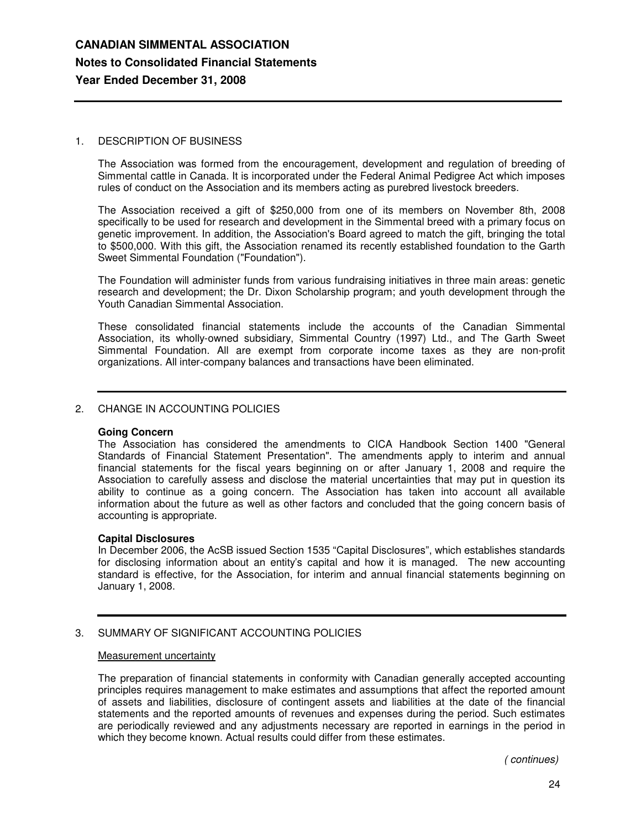### 1. DESCRIPTION OF BUSINESS

The Association was formed from the encouragement, development and regulation of breeding of Simmental cattle in Canada. It is incorporated under the Federal Animal Pedigree Act which imposes rules of conduct on the Association and its members acting as purebred livestock breeders.

The Association received a gift of \$250,000 from one of its members on November 8th, 2008 specifically to be used for research and development in the Simmental breed with a primary focus on genetic improvement. In addition, the Association's Board agreed to match the gift, bringing the total to \$500,000. With this gift, the Association renamed its recently established foundation to the Garth Sweet Simmental Foundation ("Foundation").

The Foundation will administer funds from various fundraising initiatives in three main areas: genetic research and development; the Dr. Dixon Scholarship program; and youth development through the Youth Canadian Simmental Association.

These consolidated financial statements include the accounts of the Canadian Simmental Association, its wholly-owned subsidiary, Simmental Country (1997) Ltd., and The Garth Sweet Simmental Foundation. All are exempt from corporate income taxes as they are non-profit organizations. All inter-company balances and transactions have been eliminated.

### 2. CHANGE IN ACCOUNTING POLICIES

### **Going Concern**

The Association has considered the amendments to CICA Handbook Section 1400 "General Standards of Financial Statement Presentation". The amendments apply to interim and annual financial statements for the fiscal years beginning on or after January 1, 2008 and require the Association to carefully assess and disclose the material uncertainties that may put in question its ability to continue as a going concern. The Association has taken into account all available information about the future as well as other factors and concluded that the going concern basis of accounting is appropriate.

### **Capital Disclosures**

In December 2006, the AcSB issued Section 1535 "Capital Disclosures", which establishes standards for disclosing information about an entity's capital and how it is managed. The new accounting standard is effective, for the Association, for interim and annual financial statements beginning on January 1, 2008.

### 3. SUMMARY OF SIGNIFICANT ACCOUNTING POLICIES

### Measurement uncertainty

The preparation of financial statements in conformity with Canadian generally accepted accounting principles requires management to make estimates and assumptions that affect the reported amount of assets and liabilities, disclosure of contingent assets and liabilities at the date of the financial statements and the reported amounts of revenues and expenses during the period. Such estimates are periodically reviewed and any adjustments necessary are reported in earnings in the period in which they become known. Actual results could differ from these estimates.

*( continues)*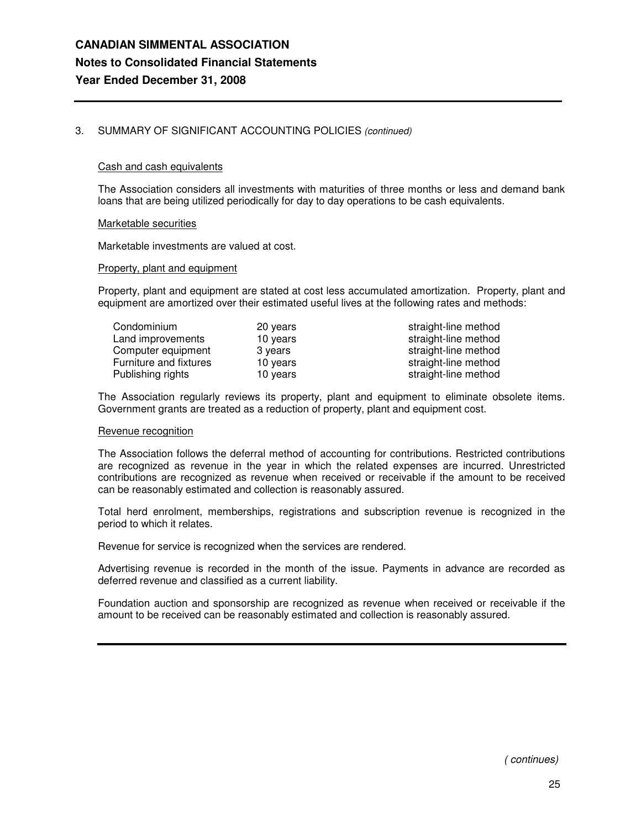### 3. SUMMARY OF SIGNIFICANT ACCOUNTING POLICIES *(continued)*

### Cash and cash equivalents

The Association considers all investments with maturities of three months or less and demand bank loans that are being utilized periodically for day to day operations to be cash equivalents.

#### Marketable securities

Marketable investments are valued at cost.

#### Property, plant and equipment

Property, plant and equipment are stated at cost less accumulated amortization. Property, plant and equipment are amortized over their estimated useful lives at the following rates and methods:

| Condominium            | 20 years | straight-line method |
|------------------------|----------|----------------------|
| Land improvements      | 10 years | straight-line method |
| Computer equipment     | 3 years  | straight-line method |
| Furniture and fixtures | 10 years | straight-line method |
| Publishing rights      | 10 years | straight-line method |

The Association regularly reviews its property, plant and equipment to eliminate obsolete items. Government grants are treated as a reduction of property, plant and equipment cost.

#### Revenue recognition

The Association follows the deferral method of accounting for contributions. Restricted contributions are recognized as revenue in the year in which the related expenses are incurred. Unrestricted contributions are recognized as revenue when received or receivable if the amount to be received can be reasonably estimated and collection is reasonably assured.

Total herd enrolment, memberships, registrations and subscription revenue is recognized in the period to which it relates.

Revenue for service is recognized when the services are rendered.

Advertising revenue is recorded in the month of the issue. Payments in advance are recorded as deferred revenue and classified as a current liability.

Foundation auction and sponsorship are recognized as revenue when received or receivable if the amount to be received can be reasonably estimated and collection is reasonably assured.

*( continues)*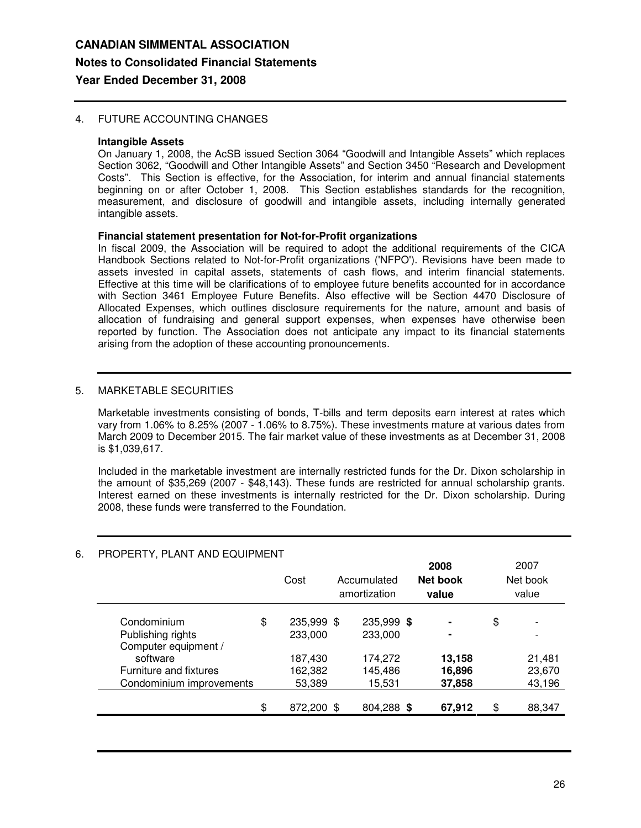### 4. FUTURE ACCOUNTING CHANGES

### **Intangible Assets**

On January 1, 2008, the AcSB issued Section 3064 "Goodwill and Intangible Assets" which replaces Section 3062, "Goodwill and Other Intangible Assets" and Section 3450 "Research and Development Costs". This Section is effective, for the Association, for interim and annual financial statements beginning on or after October 1, 2008. This Section establishes standards for the recognition, measurement, and disclosure of goodwill and intangible assets, including internally generated intangible assets.

### **Financial statement presentation for Not-for-Profit organizations**

In fiscal 2009, the Association will be required to adopt the additional requirements of the CICA Handbook Sections related to Not-for-Profit organizations ('NFPO'). Revisions have been made to assets invested in capital assets, statements of cash flows, and interim financial statements. Effective at this time will be clarifications of to employee future benefits accounted for in accordance with Section 3461 Employee Future Benefits. Also effective will be Section 4470 Disclosure of Allocated Expenses, which outlines disclosure requirements for the nature, amount and basis of allocation of fundraising and general support expenses, when expenses have otherwise been reported by function. The Association does not anticipate any impact to its financial statements arising from the adoption of these accounting pronouncements.

### 5. MARKETABLE SECURITIES

Marketable investments consisting of bonds, T-bills and term deposits earn interest at rates which vary from 1.06% to 8.25% (2007 - 1.06% to 8.75%). These investments mature at various dates from March 2009 to December 2015. The fair market value of these investments as at December 31, 2008 is \$1,039,617.

Included in the marketable investment are internally restricted funds for the Dr. Dixon scholarship in the amount of \$35,269 (2007 - \$48,143). These funds are restricted for annual scholarship grants. Interest earned on these investments is internally restricted for the Dr. Dixon scholarship. During 2008, these funds were transferred to the Foundation.

| PROPERTY, PLANT AND EQUIPMENT             | Cost                        | Accumulated<br>amortization | 2008<br>Net book<br>value | 2007<br>Net book<br>value |
|-------------------------------------------|-----------------------------|-----------------------------|---------------------------|---------------------------|
| Condominium<br>Publishing rights          | \$<br>235,999 \$<br>233,000 | 235,999 \$<br>233,000       | $\blacksquare$<br>۰       | \$                        |
| Computer equipment /                      |                             |                             |                           |                           |
| software<br><b>Furniture and fixtures</b> | 187,430<br>162,382          | 174,272<br>145,486          | 13,158<br>16,896          | 21,481<br>23,670          |
| Condominium improvements                  | 53,389                      | 15,531                      | 37,858                    | 43,196                    |
|                                           | \$<br>872,200 \$            | 804,288 \$                  | 67,912                    | \$<br>88,347              |

## 6. PROPERTY, PLANT AND EQUIPMENT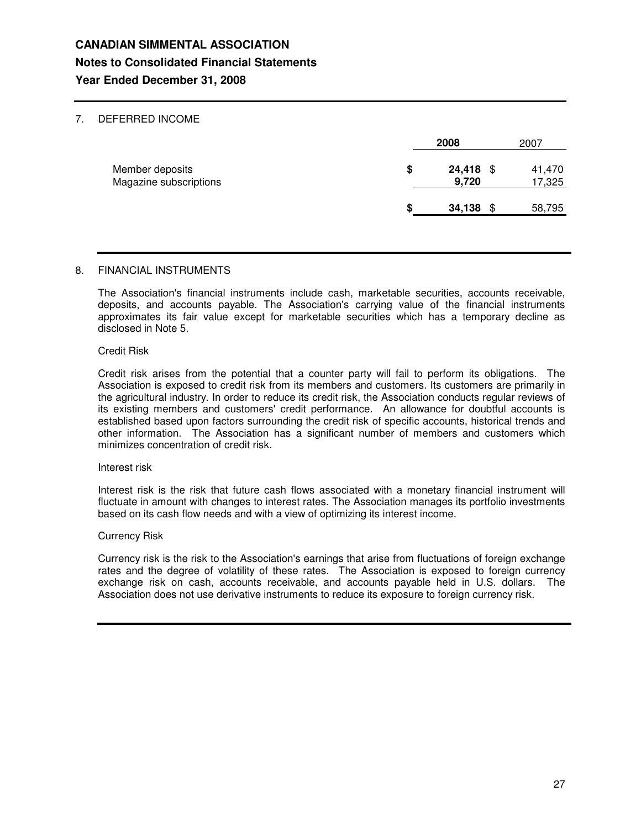### 7. DEFERRED INCOME

|                                           |    | 2008            |      | 2007             |
|-------------------------------------------|----|-----------------|------|------------------|
| Member deposits<br>Magazine subscriptions | \$ | 24,418<br>9,720 | - \$ | 41,470<br>17,325 |
|                                           | S  | 34,138          | \$   | 58,795           |

### 8. FINANCIAL INSTRUMENTS

The Association's financial instruments include cash, marketable securities, accounts receivable, deposits, and accounts payable. The Association's carrying value of the financial instruments approximates its fair value except for marketable securities which has a temporary decline as disclosed in Note 5.

### Credit Risk

Credit risk arises from the potential that a counter party will fail to perform its obligations. The Association is exposed to credit risk from its members and customers. Its customers are primarily in the agricultural industry. In order to reduce its credit risk, the Association conducts regular reviews of its existing members and customers' credit performance. An allowance for doubtful accounts is established based upon factors surrounding the credit risk of specific accounts, historical trends and other information. The Association has a significant number of members and customers which minimizes concentration of credit risk.

### Interest risk

Interest risk is the risk that future cash flows associated with a monetary financial instrument will fluctuate in amount with changes to interest rates. The Association manages its portfolio investments based on its cash flow needs and with a view of optimizing its interest income.

### Currency Risk

Currency risk is the risk to the Association's earnings that arise from fluctuations of foreign exchange rates and the degree of volatility of these rates. The Association is exposed to foreign currency exchange risk on cash, accounts receivable, and accounts payable held in U.S. dollars. The Association does not use derivative instruments to reduce its exposure to foreign currency risk.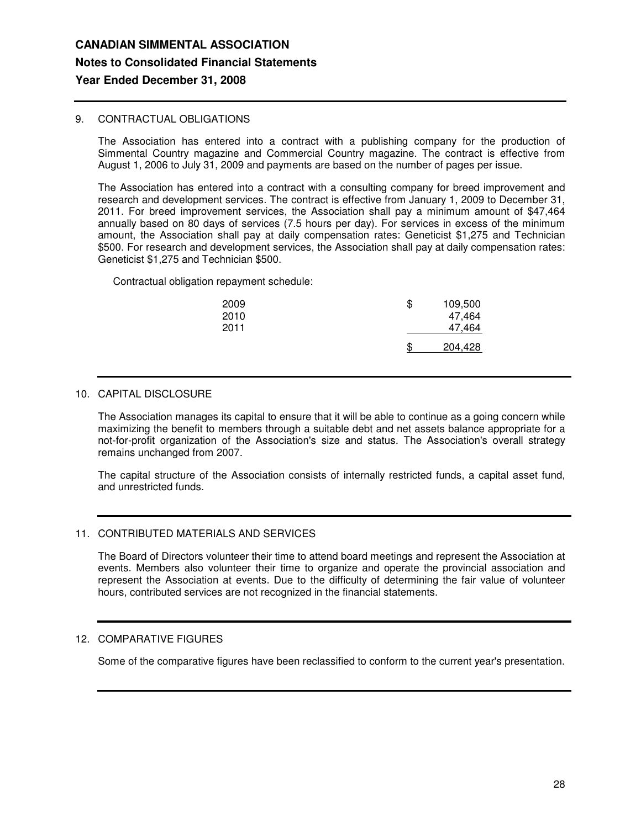### 9. CONTRACTUAL OBLIGATIONS

The Association has entered into a contract with a publishing company for the production of Simmental Country magazine and Commercial Country magazine. The contract is effective from August 1, 2006 to July 31, 2009 and payments are based on the number of pages per issue.

The Association has entered into a contract with a consulting company for breed improvement and research and development services. The contract is effective from January 1, 2009 to December 31, 2011. For breed improvement services, the Association shall pay a minimum amount of \$47,464 annually based on 80 days of services (7.5 hours per day). For services in excess of the minimum amount, the Association shall pay at daily compensation rates: Geneticist \$1,275 and Technician \$500. For research and development services, the Association shall pay at daily compensation rates: Geneticist \$1,275 and Technician \$500.

Contractual obligation repayment schedule:

| 2009<br>2010<br>2011 | \$ | 109,500<br>47,464<br>47.464 |
|----------------------|----|-----------------------------|
|                      | .ፍ | 204,428                     |

### 10. CAPITAL DISCLOSURE

The Association manages its capital to ensure that it will be able to continue as a going concern while maximizing the benefit to members through a suitable debt and net assets balance appropriate for a not-for-profit organization of the Association's size and status. The Association's overall strategy remains unchanged from 2007.

The capital structure of the Association consists of internally restricted funds, a capital asset fund, and unrestricted funds.

### 11. CONTRIBUTED MATERIALS AND SERVICES

The Board of Directors volunteer their time to attend board meetings and represent the Association at events. Members also volunteer their time to organize and operate the provincial association and represent the Association at events. Due to the difficulty of determining the fair value of volunteer hours, contributed services are not recognized in the financial statements.

### 12. COMPARATIVE FIGURES

Some of the comparative figures have been reclassified to conform to the current year's presentation.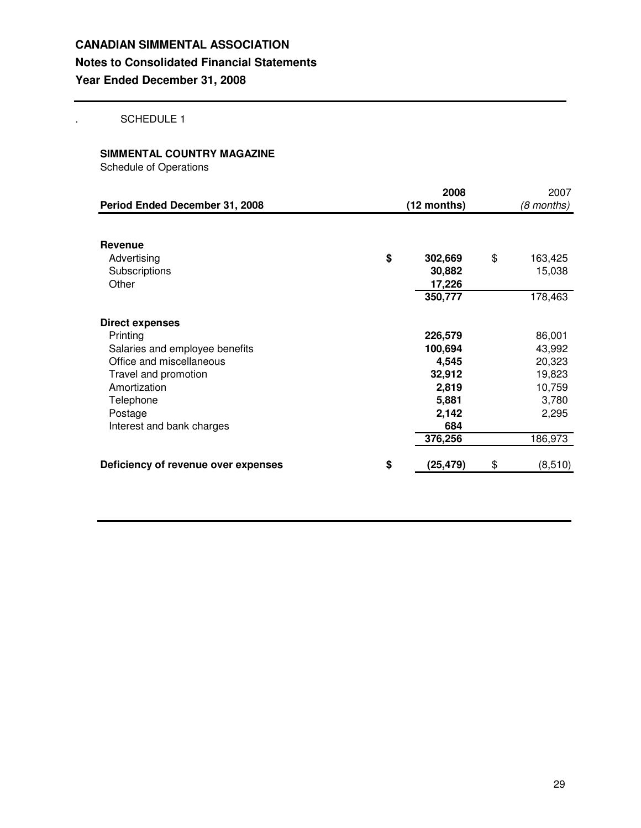. SCHEDULE 1

### **SIMMENTAL COUNTRY MAGAZINE**

Schedule of Operations

| Period Ended December 31, 2008                                                                                                                                                                | 2008<br>(12 months)                                                                | 2007<br>(8 months)                                                          |
|-----------------------------------------------------------------------------------------------------------------------------------------------------------------------------------------------|------------------------------------------------------------------------------------|-----------------------------------------------------------------------------|
| <b>Revenue</b><br>Advertising<br>Subscriptions<br>Other                                                                                                                                       | \$<br>302,669<br>30,882<br>17,226<br>350,777                                       | \$<br>163,425<br>15,038<br>178,463                                          |
| <b>Direct expenses</b><br>Printing<br>Salaries and employee benefits<br>Office and miscellaneous<br>Travel and promotion<br>Amortization<br>Telephone<br>Postage<br>Interest and bank charges | 226,579<br>100,694<br>4,545<br>32,912<br>2,819<br>5,881<br>2,142<br>684<br>376,256 | 86,001<br>43,992<br>20,323<br>19,823<br>10,759<br>3,780<br>2,295<br>186,973 |
| Deficiency of revenue over expenses                                                                                                                                                           | \$<br>(25, 479)                                                                    | \$<br>(8,510)                                                               |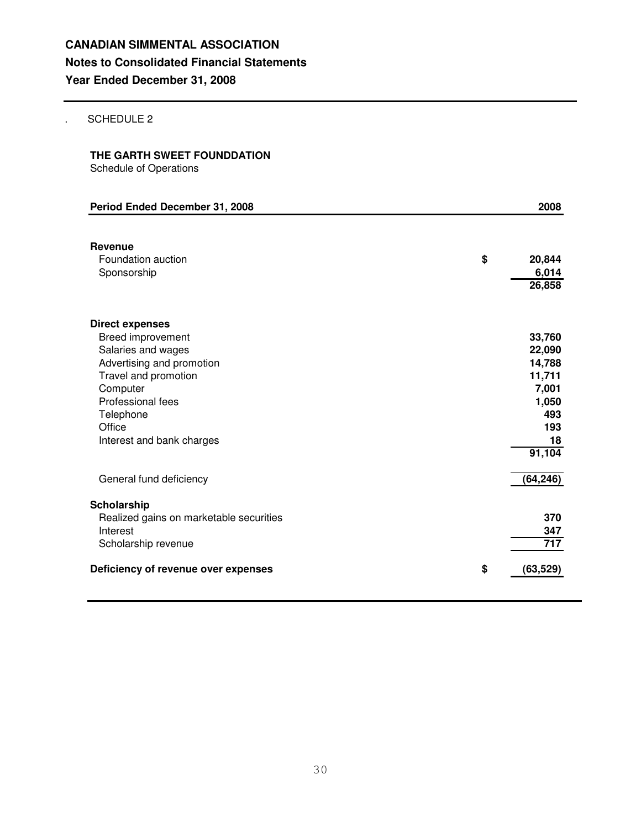### . SCHEDULE 2

## **THE GARTH SWEET FOUNDDATION**

Schedule of Operations

| Period Ended December 31, 2008                                                                                                                                                                              | 2008                                                                                 |
|-------------------------------------------------------------------------------------------------------------------------------------------------------------------------------------------------------------|--------------------------------------------------------------------------------------|
| Revenue<br>Foundation auction<br>Sponsorship                                                                                                                                                                | \$<br>20,844<br>6,014<br>26,858                                                      |
| <b>Direct expenses</b><br>Breed improvement<br>Salaries and wages<br>Advertising and promotion<br>Travel and promotion<br>Computer<br>Professional fees<br>Telephone<br>Office<br>Interest and bank charges | 33,760<br>22,090<br>14,788<br>11,711<br>7,001<br>1,050<br>493<br>193<br>18<br>91,104 |
| General fund deficiency                                                                                                                                                                                     | (64, 246)                                                                            |
| Scholarship<br>Realized gains on marketable securities<br>Interest<br>Scholarship revenue                                                                                                                   | 370<br>347<br>717                                                                    |
| Deficiency of revenue over expenses                                                                                                                                                                         | \$<br>(63, 529)                                                                      |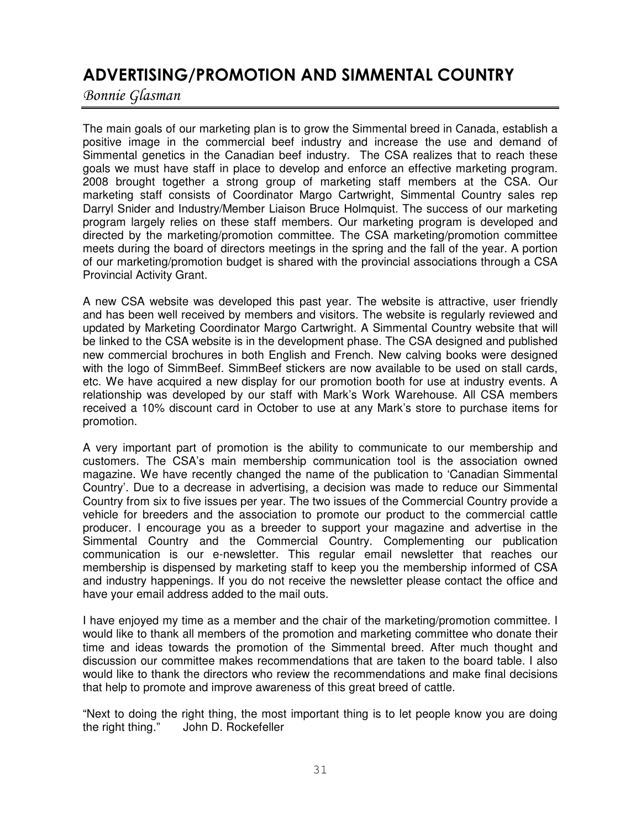# ADVERTISING/PROMOTION AND SIMMENTAL COUNTRY

Bonnie Glasman

The main goals of our marketing plan is to grow the Simmental breed in Canada, establish a positive image in the commercial beef industry and increase the use and demand of Simmental genetics in the Canadian beef industry. The CSA realizes that to reach these goals we must have staff in place to develop and enforce an effective marketing program. 2008 brought together a strong group of marketing staff members at the CSA. Our marketing staff consists of Coordinator Margo Cartwright, Simmental Country sales rep Darryl Snider and Industry/Member Liaison Bruce Holmquist. The success of our marketing program largely relies on these staff members. Our marketing program is developed and directed by the marketing/promotion committee. The CSA marketing/promotion committee meets during the board of directors meetings in the spring and the fall of the year. A portion of our marketing/promotion budget is shared with the provincial associations through a CSA Provincial Activity Grant.

A new CSA website was developed this past year. The website is attractive, user friendly and has been well received by members and visitors. The website is regularly reviewed and updated by Marketing Coordinator Margo Cartwright. A Simmental Country website that will be linked to the CSA website is in the development phase. The CSA designed and published new commercial brochures in both English and French. New calving books were designed with the logo of SimmBeef. SimmBeef stickers are now available to be used on stall cards, etc. We have acquired a new display for our promotion booth for use at industry events. A relationship was developed by our staff with Mark's Work Warehouse. All CSA members received a 10% discount card in October to use at any Mark's store to purchase items for promotion.

A very important part of promotion is the ability to communicate to our membership and customers. The CSA's main membership communication tool is the association owned magazine. We have recently changed the name of the publication to 'Canadian Simmental Country'. Due to a decrease in advertising, a decision was made to reduce our Simmental Country from six to five issues per year. The two issues of the Commercial Country provide a vehicle for breeders and the association to promote our product to the commercial cattle producer. I encourage you as a breeder to support your magazine and advertise in the Simmental Country and the Commercial Country. Complementing our publication communication is our e-newsletter. This regular email newsletter that reaches our membership is dispensed by marketing staff to keep you the membership informed of CSA and industry happenings. If you do not receive the newsletter please contact the office and have your email address added to the mail outs.

I have enjoyed my time as a member and the chair of the marketing/promotion committee. I would like to thank all members of the promotion and marketing committee who donate their time and ideas towards the promotion of the Simmental breed. After much thought and discussion our committee makes recommendations that are taken to the board table. I also would like to thank the directors who review the recommendations and make final decisions that help to promote and improve awareness of this great breed of cattle.

"Next to doing the right thing, the most important thing is to let people know you are doing the right thing." John D. Rockefeller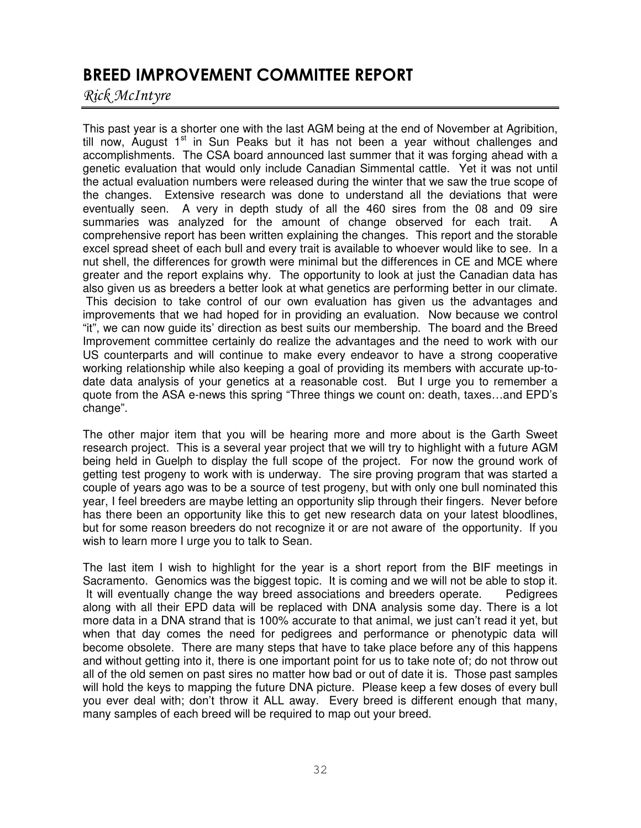# BREED IMPROVEMENT COMMITTEE REPORT

Rick McIntyre

This past year is a shorter one with the last AGM being at the end of November at Agribition, till now, August 1<sup>st</sup> in Sun Peaks but it has not been a year without challenges and accomplishments. The CSA board announced last summer that it was forging ahead with a genetic evaluation that would only include Canadian Simmental cattle. Yet it was not until the actual evaluation numbers were released during the winter that we saw the true scope of the changes. Extensive research was done to understand all the deviations that were eventually seen. A very in depth study of all the 460 sires from the 08 and 09 sire summaries was analyzed for the amount of change observed for each trait. A comprehensive report has been written explaining the changes. This report and the storable excel spread sheet of each bull and every trait is available to whoever would like to see. In a nut shell, the differences for growth were minimal but the differences in CE and MCE where greater and the report explains why. The opportunity to look at just the Canadian data has also given us as breeders a better look at what genetics are performing better in our climate. This decision to take control of our own evaluation has given us the advantages and improvements that we had hoped for in providing an evaluation. Now because we control "it", we can now guide its' direction as best suits our membership. The board and the Breed Improvement committee certainly do realize the advantages and the need to work with our US counterparts and will continue to make every endeavor to have a strong cooperative working relationship while also keeping a goal of providing its members with accurate up-todate data analysis of your genetics at a reasonable cost. But I urge you to remember a quote from the ASA e-news this spring "Three things we count on: death, taxes…and EPD's change".

The other major item that you will be hearing more and more about is the Garth Sweet research project. This is a several year project that we will try to highlight with a future AGM being held in Guelph to display the full scope of the project. For now the ground work of getting test progeny to work with is underway. The sire proving program that was started a couple of years ago was to be a source of test progeny, but with only one bull nominated this year, I feel breeders are maybe letting an opportunity slip through their fingers. Never before has there been an opportunity like this to get new research data on your latest bloodlines, but for some reason breeders do not recognize it or are not aware of the opportunity. If you wish to learn more I urge you to talk to Sean.

The last item I wish to highlight for the year is a short report from the BIF meetings in Sacramento. Genomics was the biggest topic. It is coming and we will not be able to stop it. It will eventually change the way breed associations and breeders operate. Pedigrees along with all their EPD data will be replaced with DNA analysis some day. There is a lot more data in a DNA strand that is 100% accurate to that animal, we just can't read it yet, but when that day comes the need for pedigrees and performance or phenotypic data will become obsolete. There are many steps that have to take place before any of this happens and without getting into it, there is one important point for us to take note of; do not throw out all of the old semen on past sires no matter how bad or out of date it is. Those past samples will hold the keys to mapping the future DNA picture. Please keep a few doses of every bull you ever deal with; don't throw it ALL away. Every breed is different enough that many, many samples of each breed will be required to map out your breed.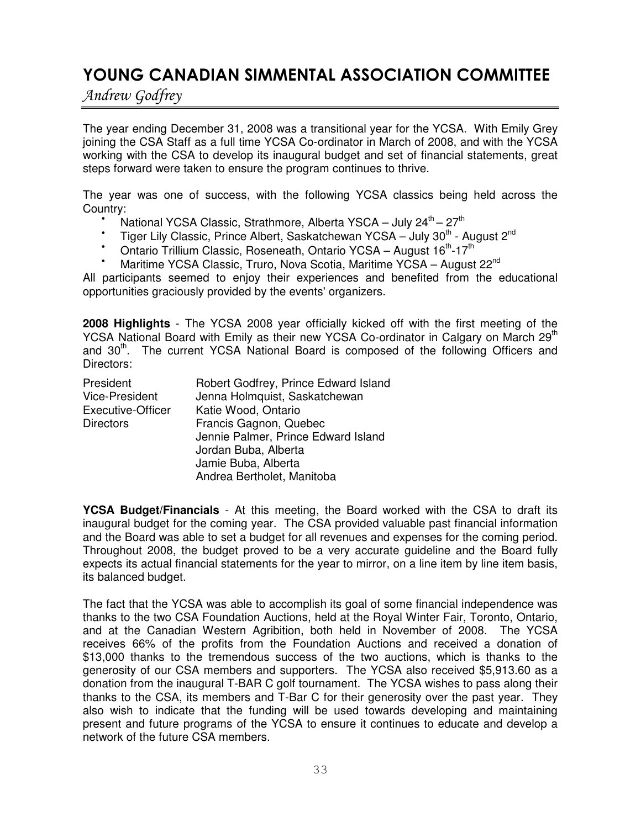# YOUNG CANADIAN SIMMENTAL ASSOCIATION COMMITTEE

Andrew Godfrey

The year ending December 31, 2008 was a transitional year for the YCSA. With Emily Grey joining the CSA Staff as a full time YCSA Co-ordinator in March of 2008, and with the YCSA working with the CSA to develop its inaugural budget and set of financial statements, great steps forward were taken to ensure the program continues to thrive.

The year was one of success, with the following YCSA classics being held across the Country:

- National YCSA Classic, Strathmore, Alberta YSCA July  $24^{\text{th}} 27^{\text{th}}$
- Tiger Lily Classic, Prince Albert, Saskatchewan YCSA July 30<sup>th</sup> August 2<sup>nd</sup>
- <sup>•</sup> Ontario Trillium Classic, Roseneath, Ontario YCSA August 16<sup>th</sup>-17<sup>th</sup>
- <sup>•</sup> Maritime YCSA Classic, Truro, Nova Scotia, Maritime YCSA August 22<sup>nd</sup>

All participants seemed to enjoy their experiences and benefited from the educational opportunities graciously provided by the events' organizers.

**2008 Highlights** - The YCSA 2008 year officially kicked off with the first meeting of the YCSA National Board with Emily as their new YCSA Co-ordinator in Calgary on March 29<sup>th</sup> and 30<sup>th</sup>. The current YCSA National Board is composed of the following Officers and Directors:

| President             | Robert Godfrey, Prince Edward Island |
|-----------------------|--------------------------------------|
| <b>Vice-President</b> | Jenna Holmquist, Saskatchewan        |
| Executive-Officer     | Katie Wood, Ontario                  |
| <b>Directors</b>      | Francis Gagnon, Quebec               |
|                       | Jennie Palmer, Prince Edward Island  |
|                       | Jordan Buba, Alberta                 |
|                       | Jamie Buba, Alberta                  |
|                       | Andrea Bertholet, Manitoba           |

**YCSA Budget/Financials** - At this meeting, the Board worked with the CSA to draft its inaugural budget for the coming year. The CSA provided valuable past financial information and the Board was able to set a budget for all revenues and expenses for the coming period. Throughout 2008, the budget proved to be a very accurate guideline and the Board fully expects its actual financial statements for the year to mirror, on a line item by line item basis, its balanced budget.

The fact that the YCSA was able to accomplish its goal of some financial independence was thanks to the two CSA Foundation Auctions, held at the Royal Winter Fair, Toronto, Ontario, and at the Canadian Western Agribition, both held in November of 2008. The YCSA receives 66% of the profits from the Foundation Auctions and received a donation of \$13,000 thanks to the tremendous success of the two auctions, which is thanks to the generosity of our CSA members and supporters. The YCSA also received \$5,913.60 as a donation from the inaugural T-BAR C golf tournament. The YCSA wishes to pass along their thanks to the CSA, its members and T-Bar C for their generosity over the past year. They also wish to indicate that the funding will be used towards developing and maintaining present and future programs of the YCSA to ensure it continues to educate and develop a network of the future CSA members.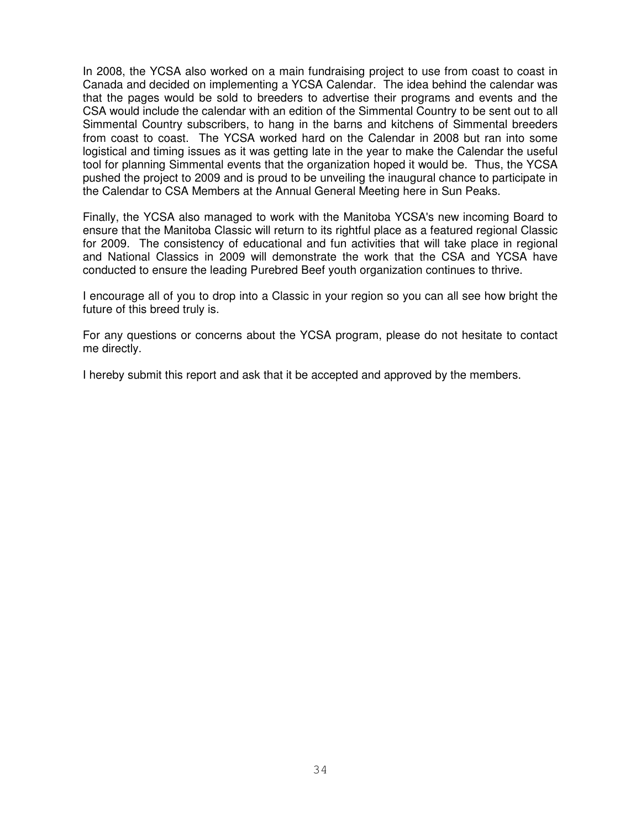In 2008, the YCSA also worked on a main fundraising project to use from coast to coast in Canada and decided on implementing a YCSA Calendar. The idea behind the calendar was that the pages would be sold to breeders to advertise their programs and events and the CSA would include the calendar with an edition of the Simmental Country to be sent out to all Simmental Country subscribers, to hang in the barns and kitchens of Simmental breeders from coast to coast. The YCSA worked hard on the Calendar in 2008 but ran into some logistical and timing issues as it was getting late in the year to make the Calendar the useful tool for planning Simmental events that the organization hoped it would be. Thus, the YCSA pushed the project to 2009 and is proud to be unveiling the inaugural chance to participate in the Calendar to CSA Members at the Annual General Meeting here in Sun Peaks.

Finally, the YCSA also managed to work with the Manitoba YCSA's new incoming Board to ensure that the Manitoba Classic will return to its rightful place as a featured regional Classic for 2009. The consistency of educational and fun activities that will take place in regional and National Classics in 2009 will demonstrate the work that the CSA and YCSA have conducted to ensure the leading Purebred Beef youth organization continues to thrive.

I encourage all of you to drop into a Classic in your region so you can all see how bright the future of this breed truly is.

For any questions or concerns about the YCSA program, please do not hesitate to contact me directly.

I hereby submit this report and ask that it be accepted and approved by the members.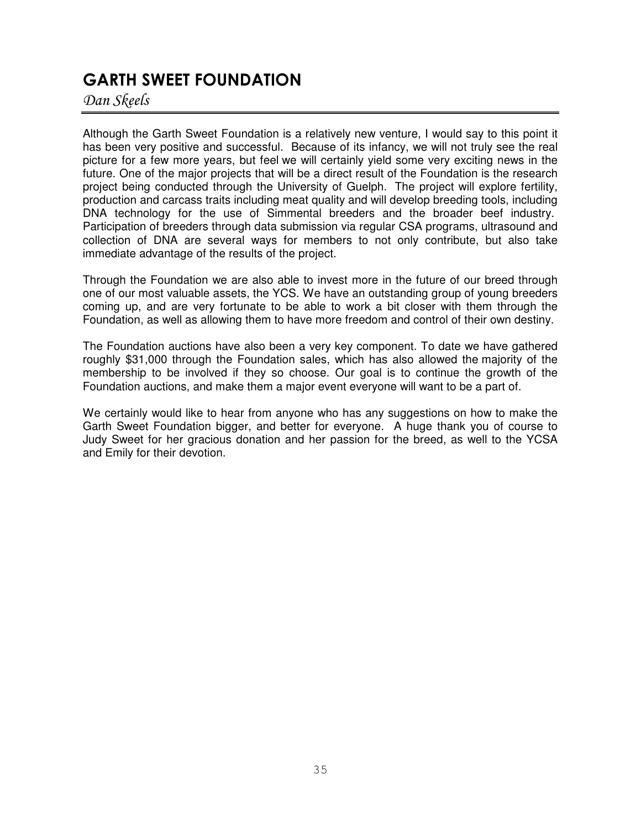# **GARTH SWEET FOUNDATION**

Dan Skeels

Although the Garth Sweet Foundation is a relatively new venture, I would say to this point it has been very positive and successful. Because of its infancy, we will not truly see the real picture for a few more years, but feel we will certainly yield some very exciting news in the future. One of the major projects that will be a direct result of the Foundation is the research project being conducted through the University of Guelph. The project will explore fertility, production and carcass traits including meat quality and will develop breeding tools, including DNA technology for the use of Simmental breeders and the broader beef industry. Participation of breeders through data submission via regular CSA programs, ultrasound and collection of DNA are several ways for members to not only contribute, but also take immediate advantage of the results of the project.

Through the Foundation we are also able to invest more in the future of our breed through one of our most valuable assets, the YCS. We have an outstanding group of young breeders coming up, and are very fortunate to be able to work a bit closer with them through the Foundation, as well as allowing them to have more freedom and control of their own destiny.

The Foundation auctions have also been a very key component. To date we have gathered roughly \$31,000 through the Foundation sales, which has also allowed the majority of the membership to be involved if they so choose. Our goal is to continue the growth of the Foundation auctions, and make them a major event everyone will want to be a part of.

We certainly would like to hear from anyone who has any suggestions on how to make the Garth Sweet Foundation bigger, and better for everyone. A huge thank you of course to Judy Sweet for her gracious donation and her passion for the breed, as well to the YCSA and Emily for their devotion.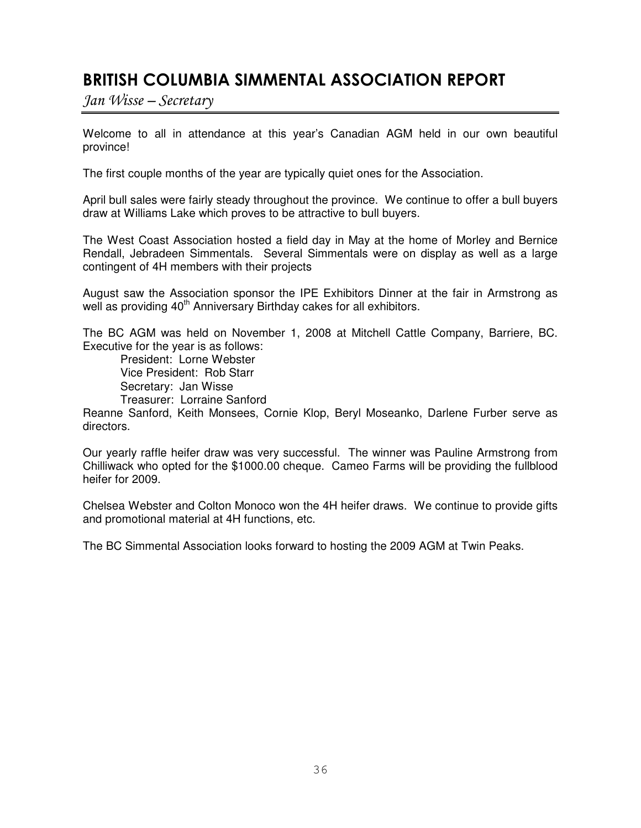# BRITISH COLUMBIA SIMMENTAL ASSOCIATION REPORT

 $Jan Wisse-Secretary$ 

Welcome to all in attendance at this year's Canadian AGM held in our own beautiful province!

The first couple months of the year are typically quiet ones for the Association.

April bull sales were fairly steady throughout the province. We continue to offer a bull buyers draw at Williams Lake which proves to be attractive to bull buyers.

The West Coast Association hosted a field day in May at the home of Morley and Bernice Rendall, Jebradeen Simmentals. Several Simmentals were on display as well as a large contingent of 4H members with their projects

August saw the Association sponsor the IPE Exhibitors Dinner at the fair in Armstrong as well as providing 40<sup>th</sup> Anniversary Birthday cakes for all exhibitors.

The BC AGM was held on November 1, 2008 at Mitchell Cattle Company, Barriere, BC. Executive for the year is as follows:

President: Lorne Webster Vice President: Rob Starr Secretary: Jan Wisse Treasurer: Lorraine Sanford

Reanne Sanford, Keith Monsees, Cornie Klop, Beryl Moseanko, Darlene Furber serve as directors.

Our yearly raffle heifer draw was very successful. The winner was Pauline Armstrong from Chilliwack who opted for the \$1000.00 cheque. Cameo Farms will be providing the fullblood heifer for 2009.

Chelsea Webster and Colton Monoco won the 4H heifer draws. We continue to provide gifts and promotional material at 4H functions, etc.

The BC Simmental Association looks forward to hosting the 2009 AGM at Twin Peaks.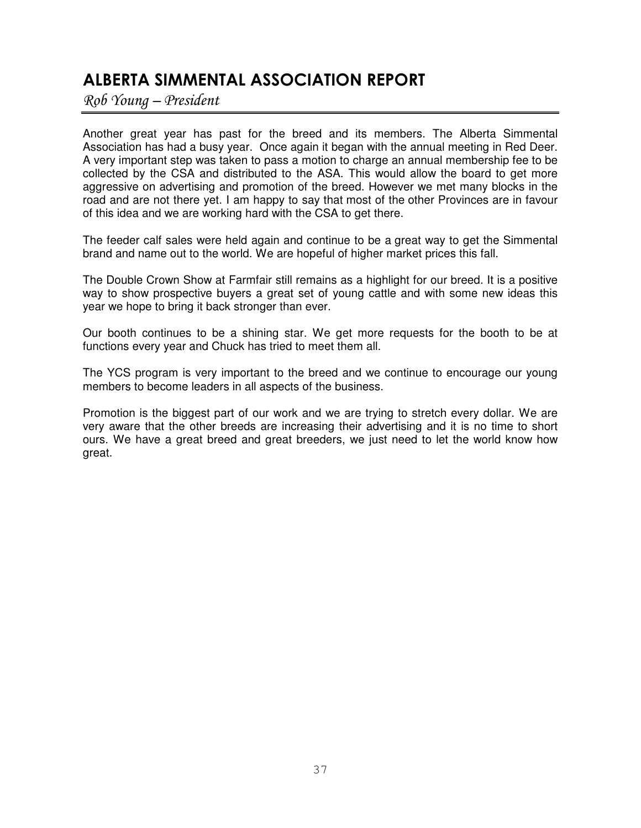# ALBERTA SIMMENTAL ASSOCIATION REPORT

Rob Young – President

Another great year has past for the breed and its members. The Alberta Simmental Association has had a busy year. Once again it began with the annual meeting in Red Deer. A very important step was taken to pass a motion to charge an annual membership fee to be collected by the CSA and distributed to the ASA. This would allow the board to get more aggressive on advertising and promotion of the breed. However we met many blocks in the road and are not there yet. I am happy to say that most of the other Provinces are in favour of this idea and we are working hard with the CSA to get there.

The feeder calf sales were held again and continue to be a great way to get the Simmental brand and name out to the world. We are hopeful of higher market prices this fall.

The Double Crown Show at Farmfair still remains as a highlight for our breed. It is a positive way to show prospective buyers a great set of young cattle and with some new ideas this year we hope to bring it back stronger than ever.

Our booth continues to be a shining star. We get more requests for the booth to be at functions every year and Chuck has tried to meet them all.

The YCS program is very important to the breed and we continue to encourage our young members to become leaders in all aspects of the business.

Promotion is the biggest part of our work and we are trying to stretch every dollar. We are very aware that the other breeds are increasing their advertising and it is no time to short ours. We have a great breed and great breeders, we just need to let the world know how great.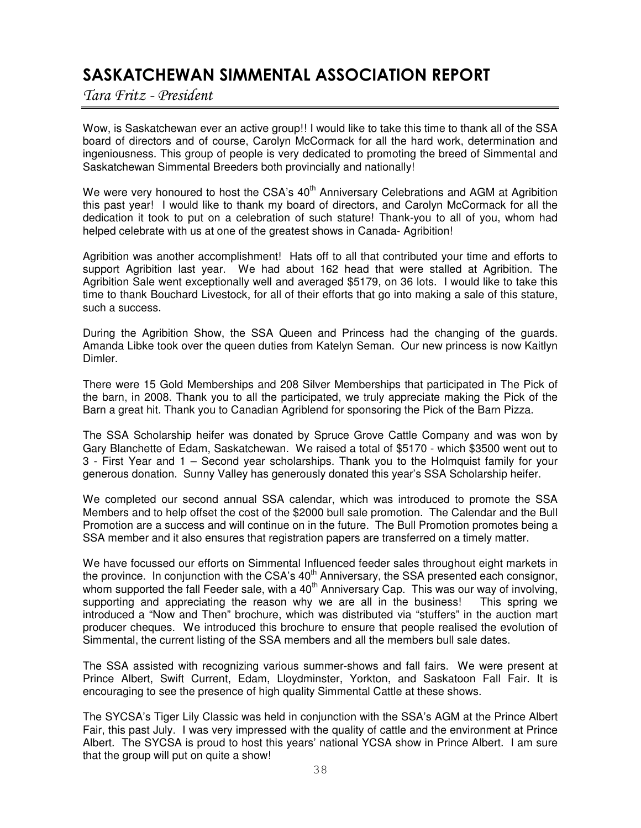# SASKATCHEWAN SIMMENTAL ASSOCIATION REPORT

Tara Fritz - President

Wow, is Saskatchewan ever an active group!! I would like to take this time to thank all of the SSA board of directors and of course, Carolyn McCormack for all the hard work, determination and ingeniousness. This group of people is very dedicated to promoting the breed of Simmental and Saskatchewan Simmental Breeders both provincially and nationally!

We were very honoured to host the CSA's 40<sup>th</sup> Anniversary Celebrations and AGM at Agribition this past year! I would like to thank my board of directors, and Carolyn McCormack for all the dedication it took to put on a celebration of such stature! Thank-you to all of you, whom had helped celebrate with us at one of the greatest shows in Canada- Agribition!

Agribition was another accomplishment! Hats off to all that contributed your time and efforts to support Agribition last year. We had about 162 head that were stalled at Agribition. The Agribition Sale went exceptionally well and averaged \$5179, on 36 lots. I would like to take this time to thank Bouchard Livestock, for all of their efforts that go into making a sale of this stature, such a success.

During the Agribition Show, the SSA Queen and Princess had the changing of the guards. Amanda Libke took over the queen duties from Katelyn Seman. Our new princess is now Kaitlyn Dimler.

There were 15 Gold Memberships and 208 Silver Memberships that participated in The Pick of the barn, in 2008. Thank you to all the participated, we truly appreciate making the Pick of the Barn a great hit. Thank you to Canadian Agriblend for sponsoring the Pick of the Barn Pizza.

The SSA Scholarship heifer was donated by Spruce Grove Cattle Company and was won by Gary Blanchette of Edam, Saskatchewan. We raised a total of \$5170 - which \$3500 went out to 3 - First Year and 1 – Second year scholarships. Thank you to the Holmquist family for your generous donation. Sunny Valley has generously donated this year's SSA Scholarship heifer.

We completed our second annual SSA calendar, which was introduced to promote the SSA Members and to help offset the cost of the \$2000 bull sale promotion. The Calendar and the Bull Promotion are a success and will continue on in the future. The Bull Promotion promotes being a SSA member and it also ensures that registration papers are transferred on a timely matter.

We have focussed our efforts on Simmental Influenced feeder sales throughout eight markets in the province. In conjunction with the CSA's 40<sup>th</sup> Anniversary, the SSA presented each consignor, whom supported the fall Feeder sale, with a 40<sup>th</sup> Anniversary Cap. This was our way of involving, supporting and appreciating the reason why we are all in the business! This spring we introduced a "Now and Then" brochure, which was distributed via "stuffers" in the auction mart producer cheques. We introduced this brochure to ensure that people realised the evolution of Simmental, the current listing of the SSA members and all the members bull sale dates.

The SSA assisted with recognizing various summer-shows and fall fairs. We were present at Prince Albert, Swift Current, Edam, Lloydminster, Yorkton, and Saskatoon Fall Fair. It is encouraging to see the presence of high quality Simmental Cattle at these shows.

The SYCSA's Tiger Lily Classic was held in conjunction with the SSA's AGM at the Prince Albert Fair, this past July. I was very impressed with the quality of cattle and the environment at Prince Albert. The SYCSA is proud to host this years' national YCSA show in Prince Albert. I am sure that the group will put on quite a show!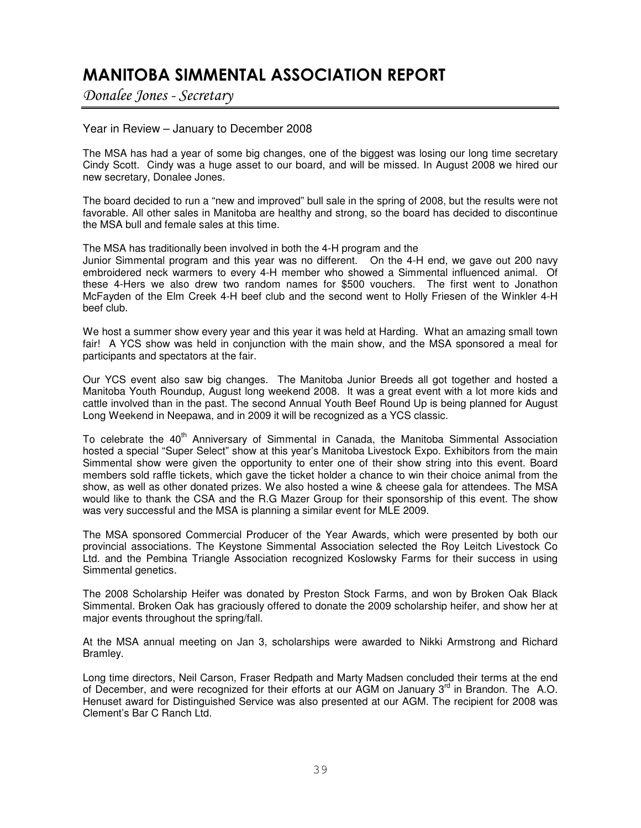# MANITOBA SIMMENTAL ASSOCIATION REPORT

Donalee Jones - Secretary

### Year in Review – January to December 2008

The MSA has had a year of some big changes, one of the biggest was losing our long time secretary Cindy Scott. Cindy was a huge asset to our board, and will be missed. In August 2008 we hired our new secretary, Donalee Jones.

The board decided to run a "new and improved" bull sale in the spring of 2008, but the results were not favorable. All other sales in Manitoba are healthy and strong, so the board has decided to discontinue the MSA bull and female sales at this time.

The MSA has traditionally been involved in both the 4-H program and the

Junior Simmental program and this year was no different. On the 4-H end, we gave out 200 navy embroidered neck warmers to every 4-H member who showed a Simmental influenced animal. Of these 4-Hers we also drew two random names for \$500 vouchers. The first went to Jonathon McFayden of the Elm Creek 4-H beef club and the second went to Holly Friesen of the Winkler 4-H beef club.

We host a summer show every year and this year it was held at Harding. What an amazing small town fair! A YCS show was held in conjunction with the main show, and the MSA sponsored a meal for participants and spectators at the fair.

Our YCS event also saw big changes. The Manitoba Junior Breeds all got together and hosted a Manitoba Youth Roundup, August long weekend 2008. It was a great event with a lot more kids and cattle involved than in the past. The second Annual Youth Beef Round Up is being planned for August Long Weekend in Neepawa, and in 2009 it will be recognized as a YCS classic.

To celebrate the 40<sup>th</sup> Anniversary of Simmental in Canada, the Manitoba Simmental Association hosted a special "Super Select" show at this year's Manitoba Livestock Expo. Exhibitors from the main Simmental show were given the opportunity to enter one of their show string into this event. Board members sold raffle tickets, which gave the ticket holder a chance to win their choice animal from the show, as well as other donated prizes. We also hosted a wine & cheese gala for attendees. The MSA would like to thank the CSA and the R.G Mazer Group for their sponsorship of this event. The show was very successful and the MSA is planning a similar event for MLE 2009.

The MSA sponsored Commercial Producer of the Year Awards, which were presented by both our provincial associations. The Keystone Simmental Association selected the Roy Leitch Livestock Co Ltd. and the Pembina Triangle Association recognized Koslowsky Farms for their success in using Simmental genetics.

The 2008 Scholarship Heifer was donated by Preston Stock Farms, and won by Broken Oak Black Simmental. Broken Oak has graciously offered to donate the 2009 scholarship heifer, and show her at major events throughout the spring/fall.

At the MSA annual meeting on Jan 3, scholarships were awarded to Nikki Armstrong and Richard Bramley.

Long time directors, Neil Carson, Fraser Redpath and Marty Madsen concluded their terms at the end of December, and were recognized for their efforts at our AGM on January 3<sup>rd</sup> in Brandon. The A.O. Henuset award for Distinguished Service was also presented at our AGM. The recipient for 2008 was Clement's Bar C Ranch Ltd.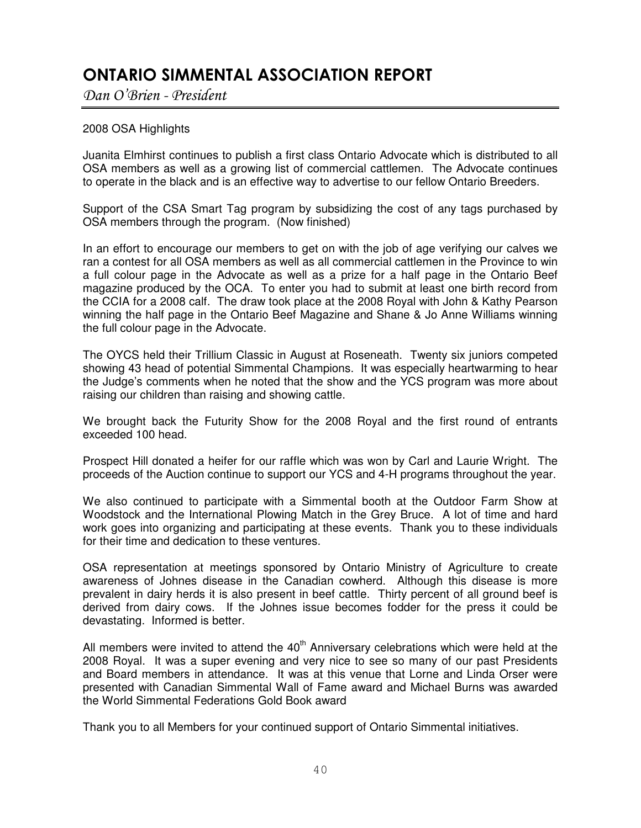# ONTARIO SIMMENTAL ASSOCIATION REPORT

Dan O'Brien - President

### 2008 OSA Highlights

Juanita Elmhirst continues to publish a first class Ontario Advocate which is distributed to all OSA members as well as a growing list of commercial cattlemen. The Advocate continues to operate in the black and is an effective way to advertise to our fellow Ontario Breeders.

Support of the CSA Smart Tag program by subsidizing the cost of any tags purchased by OSA members through the program. (Now finished)

In an effort to encourage our members to get on with the job of age verifying our calves we ran a contest for all OSA members as well as all commercial cattlemen in the Province to win a full colour page in the Advocate as well as a prize for a half page in the Ontario Beef magazine produced by the OCA. To enter you had to submit at least one birth record from the CCIA for a 2008 calf. The draw took place at the 2008 Royal with John & Kathy Pearson winning the half page in the Ontario Beef Magazine and Shane & Jo Anne Williams winning the full colour page in the Advocate.

The OYCS held their Trillium Classic in August at Roseneath. Twenty six juniors competed showing 43 head of potential Simmental Champions. It was especially heartwarming to hear the Judge's comments when he noted that the show and the YCS program was more about raising our children than raising and showing cattle.

We brought back the Futurity Show for the 2008 Royal and the first round of entrants exceeded 100 head.

Prospect Hill donated a heifer for our raffle which was won by Carl and Laurie Wright. The proceeds of the Auction continue to support our YCS and 4-H programs throughout the year.

We also continued to participate with a Simmental booth at the Outdoor Farm Show at Woodstock and the International Plowing Match in the Grey Bruce. A lot of time and hard work goes into organizing and participating at these events. Thank you to these individuals for their time and dedication to these ventures.

OSA representation at meetings sponsored by Ontario Ministry of Agriculture to create awareness of Johnes disease in the Canadian cowherd. Although this disease is more prevalent in dairy herds it is also present in beef cattle. Thirty percent of all ground beef is derived from dairy cows. If the Johnes issue becomes fodder for the press it could be devastating. Informed is better.

All members were invited to attend the  $40<sup>th</sup>$  Anniversary celebrations which were held at the 2008 Royal. It was a super evening and very nice to see so many of our past Presidents and Board members in attendance. It was at this venue that Lorne and Linda Orser were presented with Canadian Simmental Wall of Fame award and Michael Burns was awarded the World Simmental Federations Gold Book award

Thank you to all Members for your continued support of Ontario Simmental initiatives.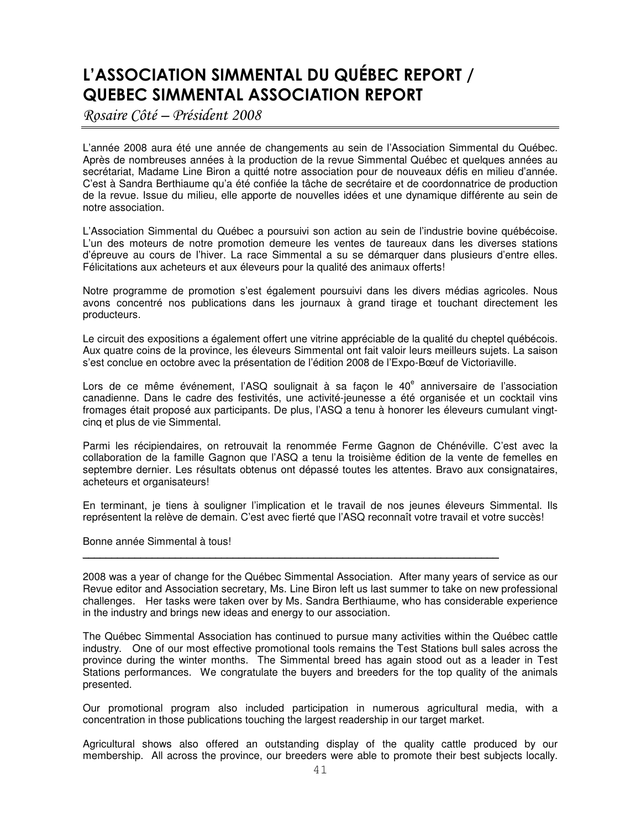# L'ASSOCIATION SIMMENTAL DU QUÉBEC REPORT / QUEBEC SIMMENTAL ASSOCIATION REPORT

Rosaire Côté – Président 2008

L'année 2008 aura été une année de changements au sein de l'Association Simmental du Québec. Après de nombreuses années à la production de la revue Simmental Québec et quelques années au secrétariat, Madame Line Biron a quitté notre association pour de nouveaux défis en milieu d'année. C'est à Sandra Berthiaume qu'a été confiée la tâche de secrétaire et de coordonnatrice de production de la revue. Issue du milieu, elle apporte de nouvelles idées et une dynamique différente au sein de notre association.

L'Association Simmental du Québec a poursuivi son action au sein de l'industrie bovine québécoise. L'un des moteurs de notre promotion demeure les ventes de taureaux dans les diverses stations d'épreuve au cours de l'hiver. La race Simmental a su se démarquer dans plusieurs d'entre elles. Félicitations aux acheteurs et aux éleveurs pour la qualité des animaux offerts!

Notre programme de promotion s'est également poursuivi dans les divers médias agricoles. Nous avons concentré nos publications dans les journaux à grand tirage et touchant directement les producteurs.

Le circuit des expositions a également offert une vitrine appréciable de la qualité du cheptel québécois. Aux quatre coins de la province, les éleveurs Simmental ont fait valoir leurs meilleurs sujets. La saison s'est conclue en octobre avec la présentation de l'édition 2008 de l'Expo-Bœuf de Victoriaville.

Lors de ce même événement, l'ASQ soulignait à sa façon le 40<sup>e</sup> anniversaire de l'association canadienne. Dans le cadre des festivités, une activité-jeunesse a été organisée et un cocktail vins fromages était proposé aux participants. De plus, l'ASQ a tenu à honorer les éleveurs cumulant vingtcinq et plus de vie Simmental.

Parmi les récipiendaires, on retrouvait la renommée Ferme Gagnon de Chénéville. C'est avec la collaboration de la famille Gagnon que l'ASQ a tenu la troisième édition de la vente de femelles en septembre dernier. Les résultats obtenus ont dépassé toutes les attentes. Bravo aux consignataires, acheteurs et organisateurs!

En terminant, je tiens à souligner l'implication et le travail de nos jeunes éleveurs Simmental. Ils représentent la relève de demain. C'est avec fierté que l'ASQ reconnaît votre travail et votre succès!

Bonne année Simmental à tous!

2008 was a year of change for the Québec Simmental Association. After many years of service as our Revue editor and Association secretary, Ms. Line Biron left us last summer to take on new professional challenges. Her tasks were taken over by Ms. Sandra Berthiaume, who has considerable experience in the industry and brings new ideas and energy to our association.

 $\_$  . The contribution of the contribution of the contribution of the contribution of  $\mathcal{L}_\mathcal{A}$ 

The Québec Simmental Association has continued to pursue many activities within the Québec cattle industry. One of our most effective promotional tools remains the Test Stations bull sales across the province during the winter months. The Simmental breed has again stood out as a leader in Test Stations performances. We congratulate the buyers and breeders for the top quality of the animals presented.

Our promotional program also included participation in numerous agricultural media, with a concentration in those publications touching the largest readership in our target market.

Agricultural shows also offered an outstanding display of the quality cattle produced by our membership. All across the province, our breeders were able to promote their best subjects locally.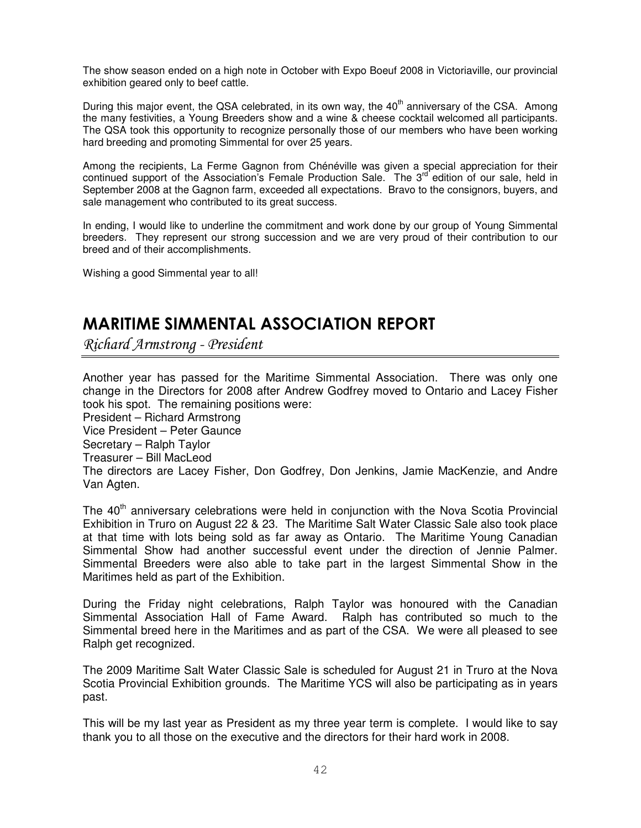The show season ended on a high note in October with Expo Boeuf 2008 in Victoriaville, our provincial exhibition geared only to beef cattle.

During this major event, the QSA celebrated, in its own way, the 40<sup>th</sup> anniversary of the CSA. Among the many festivities, a Young Breeders show and a wine & cheese cocktail welcomed all participants. The QSA took this opportunity to recognize personally those of our members who have been working hard breeding and promoting Simmental for over 25 years.

Among the recipients, La Ferme Gagnon from Chénéville was given a special appreciation for their continued support of the Association's Female Production Sale. The 3<sup>rd</sup> edition of our sale, held in September 2008 at the Gagnon farm, exceeded all expectations. Bravo to the consignors, buyers, and sale management who contributed to its great success.

In ending, I would like to underline the commitment and work done by our group of Young Simmental breeders. They represent our strong succession and we are very proud of their contribution to our breed and of their accomplishments.

Wishing a good Simmental year to all!

# MARITIME SIMMENTAL ASSOCIATION REPORT

Richard Armstrong - President

Another year has passed for the Maritime Simmental Association. There was only one change in the Directors for 2008 after Andrew Godfrey moved to Ontario and Lacey Fisher took his spot. The remaining positions were:

President – Richard Armstrong

Vice President – Peter Gaunce

Secretary – Ralph Taylor

Treasurer – Bill MacLeod

The directors are Lacey Fisher, Don Godfrey, Don Jenkins, Jamie MacKenzie, and Andre Van Agten.

The 40<sup>th</sup> anniversary celebrations were held in conjunction with the Nova Scotia Provincial Exhibition in Truro on August 22 & 23. The Maritime Salt Water Classic Sale also took place at that time with lots being sold as far away as Ontario. The Maritime Young Canadian Simmental Show had another successful event under the direction of Jennie Palmer. Simmental Breeders were also able to take part in the largest Simmental Show in the Maritimes held as part of the Exhibition.

During the Friday night celebrations, Ralph Taylor was honoured with the Canadian Simmental Association Hall of Fame Award. Ralph has contributed so much to the Simmental breed here in the Maritimes and as part of the CSA. We were all pleased to see Ralph get recognized.

The 2009 Maritime Salt Water Classic Sale is scheduled for August 21 in Truro at the Nova Scotia Provincial Exhibition grounds. The Maritime YCS will also be participating as in years past.

This will be my last year as President as my three year term is complete. I would like to say thank you to all those on the executive and the directors for their hard work in 2008.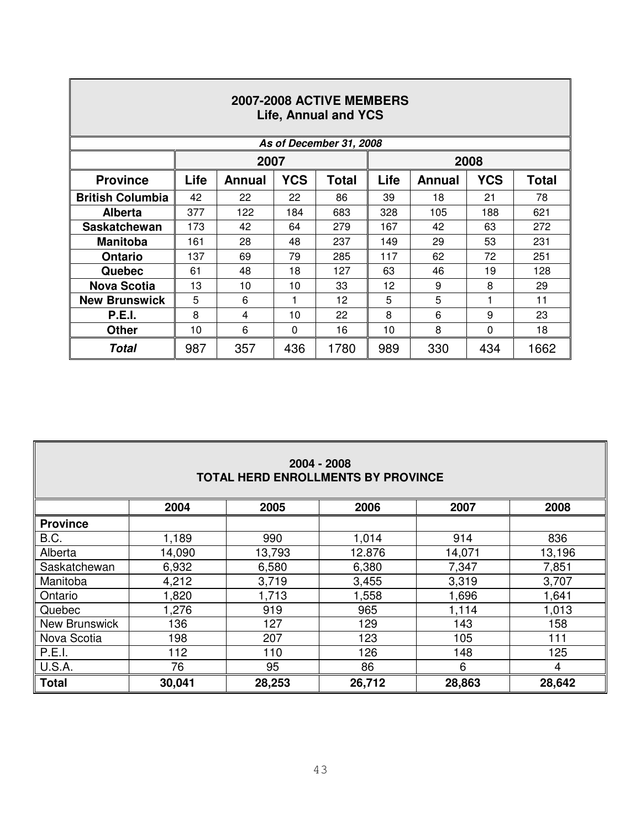| 2007-2008 ACTIVE MEMBERS<br><b>Life, Annual and YCS</b> |      |               |            |                         |                        |               |            |              |  |  |  |
|---------------------------------------------------------|------|---------------|------------|-------------------------|------------------------|---------------|------------|--------------|--|--|--|
|                                                         |      |               |            | As of December 31, 2008 |                        |               |            |              |  |  |  |
|                                                         |      | 2007          |            |                         |                        |               | 2008       |              |  |  |  |
| <b>Province</b>                                         | Life | <b>Annual</b> | <b>YCS</b> | <b>Total</b>            | Life                   | <b>Annual</b> | <b>YCS</b> | <b>Total</b> |  |  |  |
| <b>British Columbia</b>                                 | 42   | 22            | 22         | 86                      | 39                     | 18            | 21         | 78           |  |  |  |
| <b>Alberta</b>                                          | 377  | 122           | 184        | 683                     | 328                    | 105           | 188        | 621          |  |  |  |
| <b>Saskatchewan</b>                                     | 173  | 42            | 64         | 279                     | 167                    | 42            | 63         | 272          |  |  |  |
| <b>Manitoba</b>                                         | 161  | 28            | 48         | 237                     | 149                    | 29            | 53         | 231          |  |  |  |
| <b>Ontario</b>                                          | 137  | 69            | 79         | 285                     | 117<br>72<br>251<br>62 |               |            |              |  |  |  |
| Quebec                                                  | 61   | 48            | 18         | 127                     | 63<br>19<br>128<br>46  |               |            |              |  |  |  |
| <b>Nova Scotia</b>                                      | 13   | 10            | 10         | 33                      | 12                     | 9             | 8          | 29           |  |  |  |
| <b>New Brunswick</b>                                    | 5    | 6             | 1          | 12                      | 5<br>5<br>1<br>11      |               |            |              |  |  |  |
| <b>P.E.I.</b>                                           | 8    | 4             | 10         | 22                      | 8                      | 6             | 9          | 23           |  |  |  |
| <b>Other</b>                                            | 10   | 6             | 0          | 16                      | 10                     | 8             | 0          | 18           |  |  |  |
| Total                                                   | 987  | 357           | 436        | 1780                    | 989                    | 330           | 434        | 1662         |  |  |  |

 $\overline{\mathbb{F}}$ 

| 2004 - 2008                        |
|------------------------------------|
| TOTAL HERD ENROLLMENTS BY PROVINCE |

|                 | 2004   | 2005   | 2006   | 2007   | 2008   |
|-----------------|--------|--------|--------|--------|--------|
| <b>Province</b> |        |        |        |        |        |
| B.C.            | 1,189  | 990    | 1,014  | 914    | 836    |
| Alberta         | 14,090 | 13,793 | 12.876 | 14,071 | 13,196 |
| Saskatchewan    | 6,932  | 6,580  | 6,380  | 7,347  | 7,851  |
| Manitoba        | 4,212  | 3,719  | 3,455  | 3,319  | 3,707  |
| Ontario         | 1,820  | 1,713  | 1,558  | 1,696  | 1,641  |
| Quebec          | 1,276  | 919    | 965    | 1,114  | 1,013  |
| New Brunswick   | 136    | 127    | 129    | 143    | 158    |
| Nova Scotia     | 198    | 207    | 123    | 105    | 111    |
| P.E.I.          | 112    | 110    | 126    | 148    | 125    |
| U.S.A.          | 76     | 95     | 86     | 6      | 4      |
| <b>Total</b>    | 30,041 | 28,253 | 26,712 | 28,863 | 28,642 |